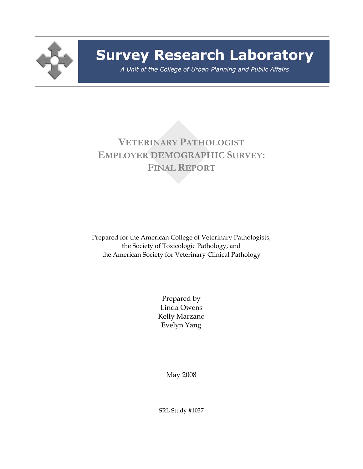

# **Survey Research Laboratory**

A Unit of the College of Urban Planning and Public Affairs

# **VETERINARY PATHOLOGIST EMPLOYER DEMOGRAPHIC SURVEY: FINAL REPORT**

Prepared for the American College of Veterinary Pathologists, the Society of Toxicologic Pathology, and the American Society for Veterinary Clinical Pathology

> Prepared by Linda Owens Kelly Marzano Evelyn Yang

> > May 2008

SRL Study #1037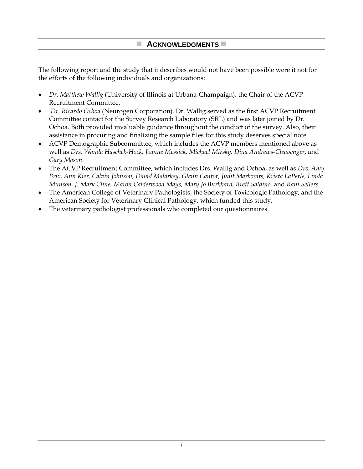The following report and the study that it describes would not have been possible were it not for the efforts of the following individuals and organizations:

- *Dr. Matthew Wallig* (University of Illinois at Urbana-Champaign), the Chair of the ACVP Recruitment Committee.
- *Dr. Ricardo Ochoa* (Neurogen Corporation). Dr. Wallig served as the first ACVP Recruitment Committee contact for the Survey Research Laboratory (SRL) and was later joined by Dr. Ochoa. Both provided invaluable guidance throughout the conduct of the survey. Also, their assistance in procuring and finalizing the sample files for this study deserves special note.
- ACVP Demographic Subcommittee, which includes the ACVP members mentioned above as well as *Drs. Wanda Haschek-Hock, Joanne Messick, Michael Mirsky, Dina Andrews-Cleavenger,* and *Gary Mason*.
- The ACVP Recruitment Committee, which includes Drs. Wallig and Ochoa, as well as *Drs. Amy Brix, Ann Kier, Calvin Johnson, David Malarkey, Glenn Cantor, Judit Markovits, Krista LaPerle, Linda Munson, J. Mark Cline, Maron Calderwood Mays, Mary Jo Burkhard, Brett Saldino,* and *Rani Sellers*.
- The American College of Veterinary Pathologists, the Society of Toxicologic Pathology, and the American Society for Veterinary Clinical Pathology, which funded this study.
- The veterinary pathologist professionals who completed our questionnaires.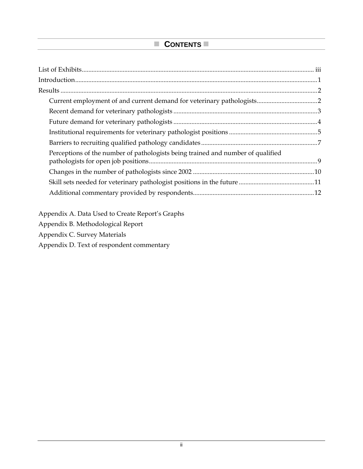# **CONTENTS**

| Perceptions of the number of pathologists being trained and number of qualified |  |
|---------------------------------------------------------------------------------|--|
|                                                                                 |  |
|                                                                                 |  |
|                                                                                 |  |
|                                                                                 |  |
|                                                                                 |  |

Appendix A. Data Used to Create Report's Graphs

Appendix B. Methodological Report

Appendix C. Survey Materials

Appendix D. Text of respondent commentary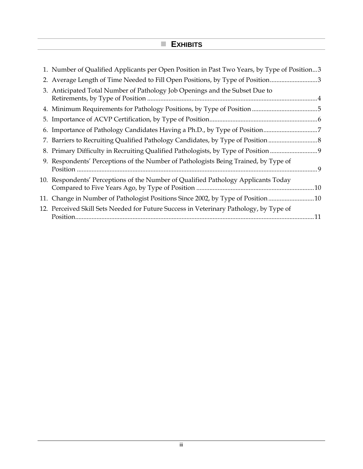# **EXHIBITS**

| 1. Number of Qualified Applicants per Open Position in Past Two Years, by Type of Position3 |
|---------------------------------------------------------------------------------------------|
| 2. Average Length of Time Needed to Fill Open Positions, by Type of Position3               |
| 3. Anticipated Total Number of Pathology Job Openings and the Subset Due to                 |
|                                                                                             |
|                                                                                             |
|                                                                                             |
| 7. Barriers to Recruiting Qualified Pathology Candidates, by Type of Position               |
| 8. Primary Difficulty in Recruiting Qualified Pathologists, by Type of Position             |
| 9. Respondents' Perceptions of the Number of Pathologists Being Trained, by Type of         |
| 10. Respondents' Perceptions of the Number of Qualified Pathology Applicants Today          |
| 11. Change in Number of Pathologist Positions Since 2002, by Type of Position10             |
| 12. Perceived Skill Sets Needed for Future Success in Veterinary Pathology, by Type of      |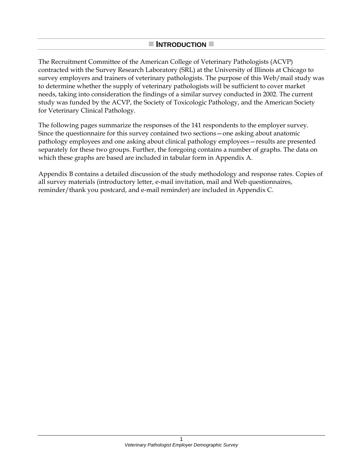#### **INTRODUCTION**

The Recruitment Committee of the American College of Veterinary Pathologists (ACVP) contracted with the Survey Research Laboratory (SRL) at the University of Illinois at Chicago to survey employers and trainers of veterinary pathologists. The purpose of this Web/mail study was to determine whether the supply of veterinary pathologists will be sufficient to cover market needs, taking into consideration the findings of a similar survey conducted in 2002. The current study was funded by the ACVP, the Society of Toxicologic Pathology, and the American Society for Veterinary Clinical Pathology.

The following pages summarize the responses of the 141 respondents to the employer survey. Since the questionnaire for this survey contained two sections—one asking about anatomic pathology employees and one asking about clinical pathology employees—results are presented separately for these two groups. Further, the foregoing contains a number of graphs. The data on which these graphs are based are included in tabular form in Appendix A.

Appendix B contains a detailed discussion of the study methodology and response rates. Copies of all survey materials (introductory letter, e-mail invitation, mail and Web questionnaires, reminder/thank you postcard, and e-mail reminder) are included in Appendix C.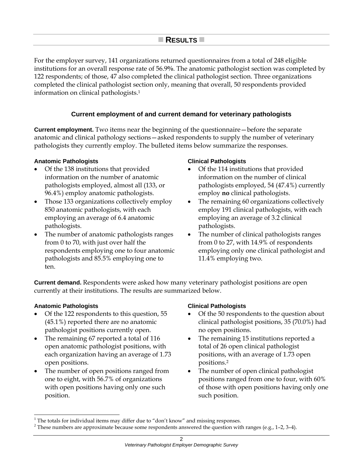# **RESULTS**

For the employer survey, 141 organizations returned questionnaires from a total of 248 eligible institutions for an overall response rate of 56.9**%**. The anatomic pathologist section was completed by 122 respondents; of those, 47 also completed the clinical pathologist section. Three organizations completed the clinical pathologist section only, meaning that overall, 50 respondents provided information on clinical pathologists.1 <sup>2</sup>

#### **Current employment of and current demand for veterinary pathologists**

**Current employment.** Two items near the beginning of the questionnaire—before the separate anatomic and clinical pathology sections—asked respondents to supply the number of veterinary pathologists they currently employ. The bulleted items below summarize the responses.

#### **Anatomic Pathologists**

- Of the 138 institutions that provided information on the number of anatomic pathologists employed, almost all (133, or 96.4%) employ anatomic pathologists.
- Those 133 organizations collectively employ 850 anatomic pathologists, with each employing an average of 6.4 anatomic pathologists.
- The number of anatomic pathologists ranges from 0 to 70, with just over half the respondents employing one to four anatomic pathologists and 85.5% employing one to ten.

#### **Clinical Pathologists**

- Of the 114 institutions that provided information on the number of clinical pathologists employed, 54 (47.4%) currently employ **no** clinical pathologists.
- The remaining 60 organizations collectively employ 191 clinical pathologists, with each employing an average of 3.2 clinical pathologists.
- The number of clinical pathologists ranges from 0 to 27, with 14.9% of respondents employing only one clinical pathologist and 11.4% employing two.

**Current demand.** Respondents were asked how many veterinary pathologist positions are open currently at their institutions. The results are summarized below.

#### **Anatomic Pathologists**

l

- Of the 122 respondents to this question, 55 (45.1%) reported there are no anatomic pathologist positions currently open.
- The remaining 67 reported a total of 116 open anatomic pathologist positions, with each organization having an average of 1.73 open positions.
- The number of open positions ranged from one to eight, with 56.7% of organizations with open positions having only one such position.

#### **Clinical Pathologists**

- Of the 50 respondents to the question about clinical pathologist positions, 35 (70.0%) had no open positions.
- The remaining 15 institutions reported a total of 26 open clinical pathologist positions, with an average of 1.73 open positions.2
- The number of open clinical pathologist positions ranged from one to four, with 60% of those with open positions having only one such position.

 $1$  The totals for individual items may differ due to "don't know" and missing responses.

 $2$  These numbers are approximate because some respondents answered the question with ranges (e.g., 1-2, 3-4).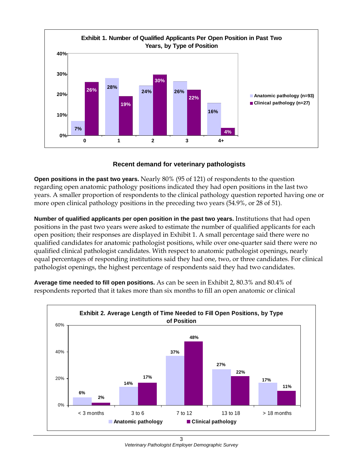

#### **Recent demand for veterinary pathologists**

**Open positions in the past two years.** Nearly 80% (95 of 121) of respondents to the question regarding open anatomic pathology positions indicated they had open positions in the last two years. A smaller proportion of respondents to the clinical pathology question reported having one or more open clinical pathology positions in the preceding two years (54.9%, or 28 of 51).

**Number of qualified applicants per open position in the past two years.** Institutions that had open positions in the past two years were asked to estimate the number of qualified applicants for each open position; their responses are displayed in Exhibit 1. A small percentage said there were no qualified candidates for anatomic pathologist positions, while over one-quarter said there were no qualified clinical pathologist candidates. With respect to anatomic pathologist openings, nearly equal percentages of responding institutions said they had one, two, or three candidates. For clinical pathologist openings, the highest percentage of respondents said they had two candidates.



**Average time needed to fill open positions.** As can be seen in Exhibit 2, 80.3% and 80.4% of respondents reported that it takes more than six months to fill an open anatomic or clinical

> 3 *Veterinary Pathologist Employer Demographic Survey*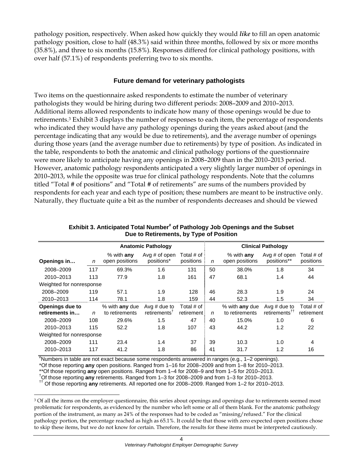pathology position, respectively. When asked how quickly they would *like* to fill an open anatomic pathology position, close to half (48.3%) said within three months, followed by six or more months (35.8%), and three to six months (15.8%). Responses differed for clinical pathology positions, with over half (57.1%) of respondents preferring two to six months.

#### **Future demand for veterinary pathologists**

Two items on the questionnaire asked respondents to estimate the number of veterinary pathologists they would be hiring during two different periods: 2008–2009 and 2010–2013. Additional items allowed respondents to indicate how many of those openings would be due to retirements.3 Exhibit 3 displays the number of responses to each item, the percentage of respondents who indicated they would have any pathology openings during the years asked about (and the percentage indicating that any would be due to retirements), and the average number of openings during those years (and the average number due to retirements) by type of position. As indicated in the table, respondents to both the anatomic and clinical pathology portions of the questionnaire were more likely to anticipate having any openings in 2008–2009 than in the 2010–2013 period. However, anatomic pathology respondents anticipated a very slightly larger number of openings in 2010–2013, while the opposite was true for clinical pathology respondents. Note that the columns titled "Total # of positions" and "Total # of retirements" are sums of the numbers provided by respondents for each year and each type of position; these numbers are meant to be instructive only. Naturally, they fluctuate quite a bit as the number of respondents decreases and should be viewed

|                                          |     |                                  | <b>Anatomic Pathology</b>                                  |                          |    |                                  | <b>Clinical Pathology</b>                   |                          |
|------------------------------------------|-----|----------------------------------|------------------------------------------------------------|--------------------------|----|----------------------------------|---------------------------------------------|--------------------------|
| Openings in                              | n   | $%$ with any<br>open positions   | Avg # of open<br>positions*                                | Total # of<br>positions  | n  | $%$ with any<br>open positions   | Avg $#$ of open<br>positions**              | Total # of<br>positions  |
| 2008-2009                                | 117 | 69.3%                            | 1.6                                                        | 131                      | 50 | 38.0%                            | 1.8                                         | 34                       |
| 2010-2013                                | 113 | 77.9                             | 1.8                                                        | 161                      | 47 | 68.1                             | 1.4                                         | 44                       |
| Weighted for nonresponse                 |     |                                  |                                                            |                          |    |                                  |                                             |                          |
| 2008-2009                                | 119 | 57.1                             | 1.9                                                        | 128                      | 46 | 28.3                             | 1.9                                         | 24                       |
| 2010-2013                                | 114 | 78.1                             | 1.8                                                        | 159                      | 44 | 52.3                             | 1.5                                         | 34                       |
| <b>Openings due to</b><br>retirements in | n   | % with any due<br>to retirements | Avg $#$ due to<br>$reti$ rements <sup><math>T</math></sup> | Total # of<br>retirement | n  | % with any due<br>to retirements | Avg $#$ due to<br>retirements <sup>††</sup> | Total # of<br>retirement |
| 2008-2009                                | 108 | 29.6%                            | 1.5                                                        | 47                       | 40 | 15.0%                            | 1.0                                         | 6                        |
| 2010-2013                                | 115 | 52.2                             | 1.8                                                        | 107                      | 43 | 44.2                             | 1.2                                         | 22                       |
| Weighted for nonresponse                 |     |                                  |                                                            |                          |    |                                  |                                             |                          |
| 2008-2009                                | 111 | 23.4                             | 1.4                                                        | 37                       | 39 | 10.3                             | 1.0                                         | 4                        |
| 2010-2013                                | 117 | 41.2                             | 1.8                                                        | 86                       | 41 | 31.7                             | 1.2                                         | 16                       |

Exhibit 3. Anticipated Total Number<sup>#</sup> of Pathology Job Openings and the Subset **Due to Retirements, by Type of Position**

# Numbers in table are not exact because some respondents answered in ranges (e.g., 1–2 openings).

\*Of those reporting **any** open positions. Ranged from 1–16 for 2008–2009 and from 1–8 for 2010–2013.

\*\*Of those reporting **any** open positions. Ranged from 1–4 for 2008–9 and from 1–5 for 2010–2013. †

l

<sup>††</sup> Of those reporting any retirements. All reported one for 2008–2009. Ranged from 1–2 for 2010–2013.

<sup>&</sup>lt;sup>3</sup> Of all the items on the employer questionnaire, this series about openings and openings due to retirements seemed most problematic for respondents, as evidenced by the number who left some or all of them blank. For the anatomic pathology portion of the instrument, as many as 24% of the responses had to be coded as "missing/refused." For the clinical pathology portion, the percentage reached as high as 65.1%. It could be that those with zero expected open positions chose to skip these items, but we do not know for certain. Therefore, the results for these items must be interpreted cautiously.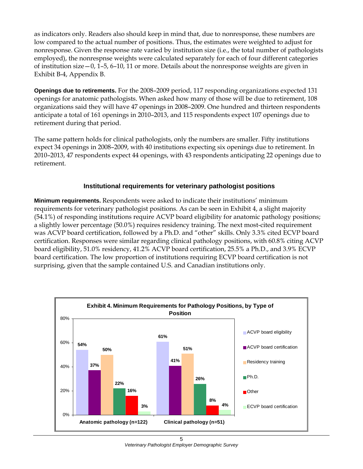as indicators only. Readers also should keep in mind that, due to nonresponse, these numbers are low compared to the actual number of positions. Thus, the estimates were weighted to adjust for nonresponse. Given the response rate varied by institution size (i.e., the total number of pathologists employed), the nonrespnse weights were calculated separately for each of four different categories of institution size—0, 1–5, 6–10, 11 or more. Details about the nonresponse weights are given in Exhibit B-4, Appendix B.

**Openings due to retirements.** For the 2008–2009 period, 117 responding organizations expected 131 openings for anatomic pathologists. When asked how many of those will be due to retirement, 108 organizations said they will have 47 openings in 2008–2009. One hundred and thirteen respondents anticipate a total of 161 openings in 2010–2013, and 115 respondents expect 107 openings due to retirement during that period.

The same pattern holds for clinical pathologists, only the numbers are smaller. Fifty institutions expect 34 openings in 2008–2009, with 40 institutions expecting six openings due to retirement. In 2010–2013, 47 respondents expect 44 openings, with 43 respondents anticipating 22 openings due to retirement.

# **Institutional requirements for veterinary pathologist positions**

**Minimum requirements.** Respondents were asked to indicate their institutions' minimum requirements for veterinary pathologist positions. As can be seen in Exhibit 4, a slight majority (54.1%) of responding institutions require ACVP board eligibility for anatomic pathology positions; a slightly lower percentage (50.0%) requires residency training. The next most-cited requirement was ACVP board certification, followed by a Ph.D. and "other" skills. Only 3.3% cited ECVP board certification. Responses were similar regarding clinical pathology positions, with 60.8% citing ACVP board eligibility, 51.0% residency, 41.2% ACVP board certification, 25.5% a Ph.D., and 3.9% ECVP board certification. The low proportion of institutions requiring ECVP board certification is not surprising, given that the sample contained U.S. and Canadian institutions only.



5 *Veterinary Pathologist Employer Demographic Survey*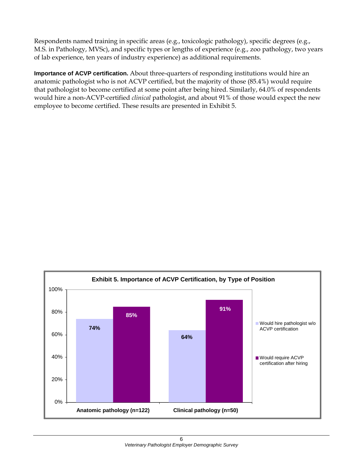Respondents named training in specific areas (e.g., toxicologic pathology), specific degrees (e.g., M.S. in Pathology, MVSc), and specific types or lengths of experience (e.g., zoo pathology, two years of lab experience, ten years of industry experience) as additional requirements.

**Importance of ACVP certification.** About three-quarters of responding institutions would hire an anatomic pathologist who is not ACVP certified, but the majority of those (85.4%) would require that pathologist to become certified at some point after being hired. Similarly, 64.0% of respondents would hire a non-ACVP-certified *clinical* pathologist, and about 91% of those would expect the new employee to become certified. These results are presented in Exhibit 5.

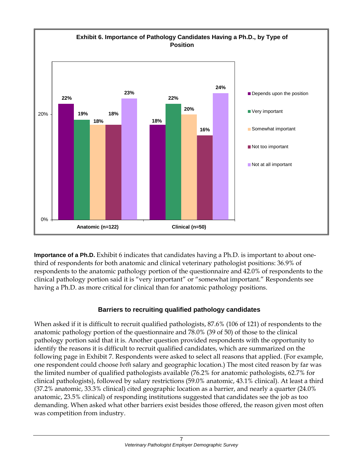

**Importance of a Ph.D.** Exhibit 6 indicates that candidates having a Ph.D. is important to about onethird of respondents for both anatomic and clinical veterinary pathologist positions: 36.9% of respondents to the anatomic pathology portion of the questionnaire and 42.0% of respondents to the clinical pathology portion said it is "very important" or "somewhat important." Respondents see having a Ph.D. as more critical for clinical than for anatomic pathology positions.

# **Barriers to recruiting qualified pathology candidates**

When asked if it is difficult to recruit qualified pathologists, 87.6% (106 of 121) of respondents to the anatomic pathology portion of the questionnaire and 78.0% (39 of 50) of those to the clinical pathology portion said that it is. Another question provided respondents with the opportunity to identify the reasons it is difficult to recruit qualified candidates, which are summarized on the following page in Exhibit 7. Respondents were asked to select all reasons that applied. (For example, one respondent could choose *both* salary and geographic location.) The most cited reason by far was the limited number of qualified pathologists available (76.2% for anatomic pathologists, 62.7% for clinical pathologists), followed by salary restrictions (59.0% anatomic, 43.1% clinical). At least a third (37.2% anatomic, 33.3% clinical) cited geographic location as a barrier, and nearly a quarter (24.0% anatomic, 23.5% clinical) of responding institutions suggested that candidates see the job as too demanding. When asked what other barriers exist besides those offered, the reason given most often was competition from industry.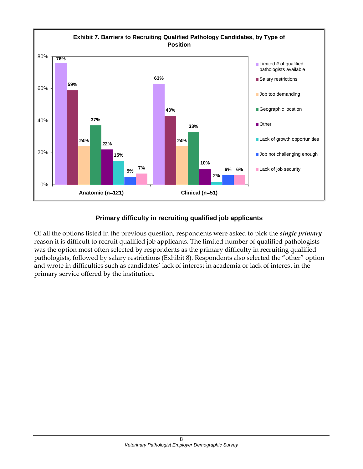

# **Primary difficulty in recruiting qualified job applicants**

Of all the options listed in the previous question, respondents were asked to pick the *single primary* reason it is difficult to recruit qualified job applicants. The limited number of qualified pathologists was the option most often selected by respondents as the primary difficulty in recruiting qualified pathologists, followed by salary restrictions (Exhibit 8). Respondents also selected the "other" option and wrote in difficulties such as candidates' lack of interest in academia or lack of interest in the primary service offered by the institution.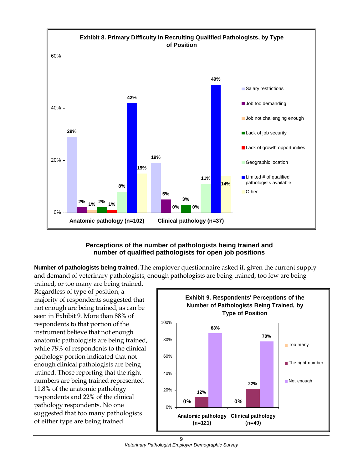

#### **Perceptions of the number of pathologists being trained and number of qualified pathologists for open job positions**

**Number of pathologists being trained.** The employer questionnaire asked if, given the current supply and demand of veterinary pathologists, enough pathologists are being trained, too few are being

trained, or too many are being trained. Regardless of type of position, a majority of respondents suggested that not enough are being trained, as can be seen in Exhibit 9. More than 88% of respondents to that portion of the instrument believe that not enough anatomic pathologists are being trained, while 78% of respondents to the clinical pathology portion indicated that not enough clinical pathologists are being trained. Those reporting that the right numbers are being trained represented 11.8% of the anatomic pathology respondents and 22% of the clinical pathology respondents. No one suggested that too many pathologists of either type are being trained.



9 *Veterinary Pathologist Employer Demographic Survey*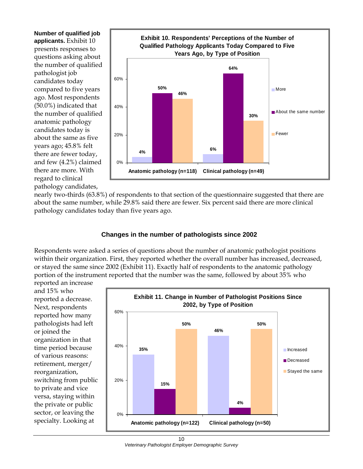**Number of qualified job applicants.** Exhibit 10 presents responses to questions asking about the number of qualified pathologist job candidates today compared to five years ago. Most respondents (50.0%) indicated that the number of qualified anatomic pathology candidates today is about the same as five years ago; 45.8% felt there are fewer today, and few (4.2%) claimed there are more. With regard to clinical pathology candidates,



nearly two-thirds (63.8%) of respondents to that section of the questionnaire suggested that there are about the same number, while 29.8% said there are fewer. Six percent said there are more clinical pathology candidates today than five years ago.

# **Changes in the number of pathologists since 2002**

Respondents were asked a series of questions about the number of anatomic pathologist positions within their organization. First, they reported whether the overall number has increased, decreased, or stayed the same since 2002 (Exhibit 11). Exactly half of respondents to the anatomic pathology portion of the instrument reported that the number was the same, followed by about 35% who

reported an increase and 15% who reported a decrease. Next, respondents reported how many pathologists had left or joined the organization in that time period because of various reasons: retirement, merger/ reorganization, switching from public to private and vice versa, staying within the private or public sector, or leaving the specialty. Looking at

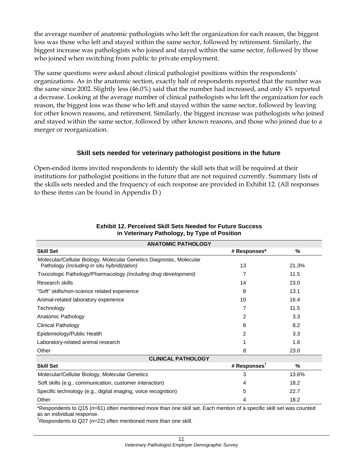the average number of anatomic pathologists who left the organization for each reason, the biggest loss was those who left and stayed within the same sector, followed by retirement. Similarly, the biggest increase was pathologists who joined and stayed within the same sector, followed by those who joined when switching from public to private employment.

The same questions were asked about clinical pathologist positions within the respondents' organizations. As in the anatomic section, exactly half of respondents reported that the number was the same since 2002. Slightly less (46.0%) said that the number had increased, and only 4% reported a decrease. Looking at the average number of clinical pathologists who left the organization for each reason, the biggest loss was those who left and stayed within the same sector, followed by leaving for other known reasons, and retirement. Similarly, the biggest increase was pathologists who joined and stayed within the same sector, followed by other known reasons, and those who joined due to a merger or reorganization.

# **Skill sets needed for veterinary pathologist positions in the future**

Open-ended items invited respondents to identify the skill sets that will be required at their institutions for pathologist positions in the future that are not required currently. Summary lists of the skills sets needed and the frequency of each response are provided in Exhibit 12. (All responses to these items can be found in Appendix D.)

| <b>ANATOMIC PATHOLOGY</b>                                                                                           |                          |       |  |  |  |  |
|---------------------------------------------------------------------------------------------------------------------|--------------------------|-------|--|--|--|--|
| <b>Skill Set</b>                                                                                                    | # Responses*             | %     |  |  |  |  |
| Molecular/Cellular Biology, Molecular Genetics Diagnostic, Molecular<br>Pathology (including in situ hybridization) | 13                       | 21.3% |  |  |  |  |
| Toxicologic Pathology/Pharmacology (including drug development)                                                     | 7                        | 11.5  |  |  |  |  |
| Research skills                                                                                                     | 14                       | 23.0  |  |  |  |  |
| "Soft" skills/non-science related experience                                                                        | 8                        | 13.1  |  |  |  |  |
| Animal-related laboratory experience                                                                                | 10                       | 16.4  |  |  |  |  |
| Technology                                                                                                          | 7                        | 11.5  |  |  |  |  |
| Anatomic Pathology                                                                                                  | 2                        | 3.3   |  |  |  |  |
| <b>Clinical Pathology</b>                                                                                           | 8                        | 8.2   |  |  |  |  |
| Epidemiology/Public Health                                                                                          | 2                        | 3.3   |  |  |  |  |
| Laboratory-related animal research                                                                                  |                          | 1.6   |  |  |  |  |
| Other                                                                                                               | 8                        | 23.0  |  |  |  |  |
| <b>CLINICAL PATHOLOGY</b>                                                                                           |                          |       |  |  |  |  |
| <b>Skill Set</b>                                                                                                    | # Responses <sup>T</sup> | %     |  |  |  |  |
| Molecular/Cellular Biology, Molecular Genetics                                                                      | 3                        | 13.6% |  |  |  |  |
| Soft skills (e.g., communication, customer interaction)                                                             | 4                        | 18.2  |  |  |  |  |
| Specific technology (e.g., digital imaging, voice recognition)                                                      | 5                        | 22.7  |  |  |  |  |
| Other                                                                                                               | 4                        | 18.2  |  |  |  |  |

#### **Exhibit 12. Perceived Skill Sets Needed for Future Success in Veterinary Pathology, by Type of Position**

\*Respondents to Q15 (*n*=61) often mentioned more than one skill set. Each mention of a specific skill set was counted as an individual response.

† Respondents to Q27 (*n*=22) often mentioned more than one skill.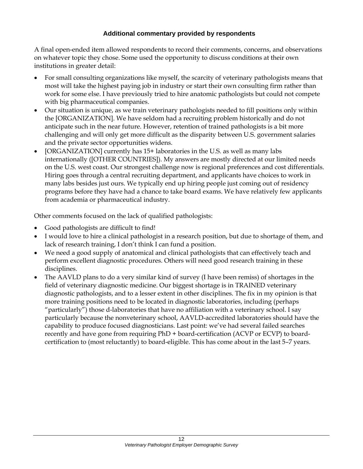# **Additional commentary provided by respondents**

A final open-ended item allowed respondents to record their comments, concerns, and observations on whatever topic they chose. Some used the opportunity to discuss conditions at their own institutions in greater detail:

- For small consulting organizations like myself, the scarcity of veterinary pathologists means that most will take the highest paying job in industry or start their own consulting firm rather than work for some else. I have previously tried to hire anatomic pathologists but could not compete with big pharmaceutical companies.
- Our situation is unique, as we train veterinary pathologists needed to fill positions only within the [ORGANIZATION]. We have seldom had a recruiting problem historically and do not anticipate such in the near future. However, retention of trained pathologists is a bit more challenging and will only get more difficult as the disparity between U.S. government salaries and the private sector opportunities widens.
- [ORGANIZATION] currently has 15+ laboratories in the U.S. as well as many labs internationally ([OTHER COUNTRIES]). My answers are mostly directed at our limited needs on the U.S. west coast. Our strongest challenge now is regional preferences and cost differentials. Hiring goes through a central recruiting department, and applicants have choices to work in many labs besides just ours. We typically end up hiring people just coming out of residency programs before they have had a chance to take board exams. We have relatively few applicants from academia or pharmaceutical industry.

Other comments focused on the lack of qualified pathologists:

- Good pathologists are difficult to find!
- I would love to hire a clinical pathologist in a research position, but due to shortage of them, and lack of research training, I don't think I can fund a position.
- We need a good supply of anatomical and clinical pathologists that can effectively teach and perform excellent diagnostic procedures. Others will need good research training in these disciplines.
- The AAVLD plans to do a very similar kind of survey (I have been remiss) of shortages in the field of veterinary diagnostic medicine. Our biggest shortage is in TRAINED veterinary diagnostic pathologists, and to a lesser extent in other disciplines. The fix in my opinion is that more training positions need to be located in diagnostic laboratories, including (perhaps "particularly") those d-laboratories that have no affiliation with a veterinary school. I say particularly because the nonveterinary school, AAVLD-accredited laboratories should have the capability to produce focused diagnosticians. Last point: we've had several failed searches recently and have gone from requiring PhD + board-certification (ACVP or ECVP) to boardcertification to (most reluctantly) to board-eligible. This has come about in the last 5–7 years.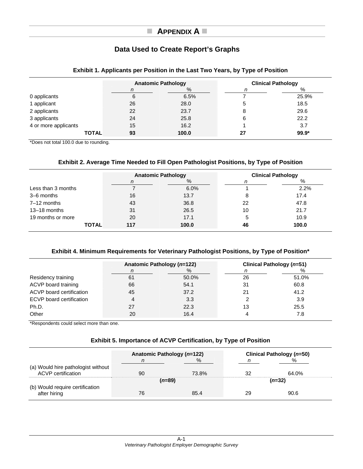# **APPENDIX A**

# **Data Used to Create Report's Graphs**

|                      | <b>Anatomic Pathology</b> |       |    | <b>Clinical Pathology</b> |
|----------------------|---------------------------|-------|----|---------------------------|
|                      | n                         | %     | n  | %                         |
| 0 applicants         | 6                         | 6.5%  |    | 25.9%                     |
| 1 applicant          | 26                        | 28.0  | đ  | 18.5                      |
| 2 applicants         | 22                        | 23.7  | 8  | 29.6                      |
| 3 applicants         | 24                        | 25.8  | 6  | 22.2                      |
| 4 or more applicants | 15                        | 16.2  |    | 3.7                       |
| <b>TOTAL</b>         | 93                        | 100.0 | 27 | $99.9*$                   |

#### **Exhibit 1. Applicants per Position in the Last Two Years, by Type of Position**

\*Does not total 100.0 due to rounding.

#### **Exhibit 2. Average Time Needed to Fill Open Pathologist Positions, by Type of Position**

|                    | <b>Anatomic Pathology</b> |       |    | <b>Clinical Pathology</b> |
|--------------------|---------------------------|-------|----|---------------------------|
|                    | n                         | %     |    | %                         |
| Less than 3 months |                           | 6.0%  |    | 2.2%                      |
| 3–6 months         | 16                        | 13.7  | 8  | 17.4                      |
| $7-12$ months      | 43                        | 36.8  | 22 | 47.8                      |
| $13 - 18$ months   | 31                        | 26.5  | 10 | 21.7                      |
| 19 months or more  | 20                        | 17.1  | 5  | 10.9                      |
| <b>TOTAL</b>       | 117                       | 100.0 | 46 | 100.0                     |

#### **Exhibit 4. Minimum Requirements for Veterinary Pathologist Positions, by Type of Position\***

|                                 | Anatomic Pathology (n=122) |       |    | Clinical Pathology (n=51) |
|---------------------------------|----------------------------|-------|----|---------------------------|
|                                 | n                          | $\%$  |    | %                         |
| Residency training              | 61                         | 50.0% | 26 | 51.0%                     |
| ACVP board training             | 66                         | 54.1  | 31 | 60.8                      |
| ACVP board certification        | 45                         | 37.2  | 21 | 41.2                      |
| <b>ECVP</b> board certification | 4                          | 3.3   |    | 3.9                       |
| Ph.D.                           | 27                         | 22.3  | 13 | 25.5                      |
| Other                           | 20                         | 16.4  |    | 7.8                       |

\*Respondents could select more than one.

#### **Exhibit 5. Importance of ACVP Certification, by Type of Position**

|                                                                 | Anatomic Pathology (n=122) |       |    | Clinical Pathology (n=50) |  |
|-----------------------------------------------------------------|----------------------------|-------|----|---------------------------|--|
|                                                                 | n                          | %     |    | %                         |  |
| (a) Would hire pathologist without<br><b>ACVP</b> certification | 90                         | 73.8% | 32 | 64.0%                     |  |
| (b) Would require certification                                 | (n=89)                     |       |    | (n=32)                    |  |
| after hiring                                                    | 76                         | 85.4  | 29 | 90.6                      |  |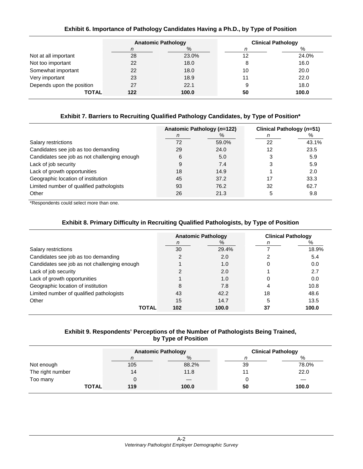| Exhibit 6. Importance of Pathology Candidates Having a Ph.D., by Type of Position |  |  |  |  |
|-----------------------------------------------------------------------------------|--|--|--|--|
|-----------------------------------------------------------------------------------|--|--|--|--|

|                           | <b>Anatomic Pathology</b> |       | <b>Clinical Pathology</b> |       |
|---------------------------|---------------------------|-------|---------------------------|-------|
|                           | n                         | %     | n                         | %     |
| Not at all important      | 28                        | 23.0% | 12                        | 24.0% |
| Not too important         | 22                        | 18.0  | 8                         | 16.0  |
| Somewhat important        | 22                        | 18.0  | 10                        | 20.0  |
| Very important            | 23                        | 18.9  | 11                        | 22.0  |
| Depends upon the position | 27                        | 22.1  | 9                         | 18.0  |
| <b>TOTAL</b>              | 122                       | 100.0 | 50                        | 100.0 |

#### **Exhibit 7. Barriers to Recruiting Qualified Pathology Candidates, by Type of Position\***

|                                              | Anatomic Pathology (n=122) |       | Clinical Pathology (n=51) |       |
|----------------------------------------------|----------------------------|-------|---------------------------|-------|
|                                              | n                          | $\%$  | n                         | %     |
| Salary restrictions                          | 72                         | 59.0% | 22                        | 43.1% |
| Candidates see job as too demanding          | 29                         | 24.0  | 12                        | 23.5  |
| Candidates see job as not challenging enough | 6                          | 5.0   | 3                         | 5.9   |
| Lack of job security                         | 9                          | 7.4   | 3                         | 5.9   |
| Lack of growth opportunities                 | 18                         | 14.9  |                           | 2.0   |
| Geographic location of institution           | 45                         | 37.2  | 17                        | 33.3  |
| Limited number of qualified pathologists     | 93                         | 76.2  | 32                        | 62.7  |
| Other                                        | 26                         | 21.3  | 5                         | 9.8   |

\*Respondents could select more than one.

|  |  | Exhibit 8. Primary Difficulty in Recruiting Qualified Pathologists, by Type of Position |  |  |
|--|--|-----------------------------------------------------------------------------------------|--|--|
|--|--|-----------------------------------------------------------------------------------------|--|--|

|                                              | <b>Anatomic Pathology</b> |       |    | <b>Clinical Pathology</b> |
|----------------------------------------------|---------------------------|-------|----|---------------------------|
|                                              | n                         | $\%$  | n  | %                         |
| Salary restrictions                          | 30                        | 29.4% |    | 18.9%                     |
| Candidates see job as too demanding          |                           | 2.0   |    | 5.4                       |
| Candidates see job as not challenging enough |                           | 1.0   | 0  | 0.0                       |
| Lack of job security                         |                           | 2.0   |    | 2.7                       |
| Lack of growth opportunities                 |                           | 1.0   |    | 0.0                       |
| Geographic location of institution           | 8                         | 7.8   |    | 10.8                      |
| Limited number of qualified pathologists     | 43                        | 42.2  | 18 | 48.6                      |
| Other                                        | 15                        | 14.7  | 5  | 13.5                      |
| <b>TOTAL</b>                                 | 102                       | 100.0 | 37 | 100.0                     |

#### **Exhibit 9. Respondents' Perceptions of the Number of Pathologists Being Trained, by Type of Position**

|                  |     | <b>Anatomic Pathology</b> |    | <b>Clinical Pathology</b> |
|------------------|-----|---------------------------|----|---------------------------|
|                  | n   | %                         |    | %                         |
| Not enough       | 105 | 88.2%                     | 39 | 78.0%                     |
| The right number | 14  | 11.8                      |    | 22.0                      |
| Too many         |     |                           | 0  | —                         |
| <b>TOTAL</b>     | 119 | 100.0                     | 50 | 100.0                     |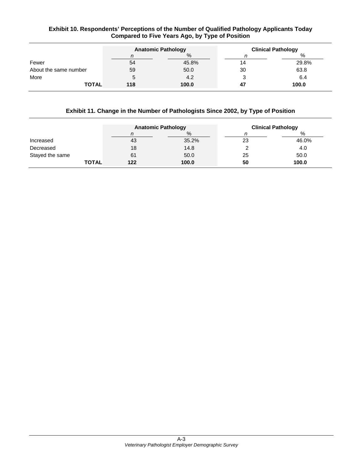#### **Exhibit 10. Respondents' Perceptions of the Number of Qualified Pathology Applicants Today Compared to Five Years Ago, by Type of Position**

|                       |     | <b>Anatomic Pathology</b> |    | <b>Clinical Pathology</b> |
|-----------------------|-----|---------------------------|----|---------------------------|
|                       | n   | %                         |    | %                         |
| Fewer                 | 54  | 45.8%                     |    | 29.8%                     |
| About the same number | 59  | 50.0                      | 30 | 63.8                      |
| More                  | 5   | 4.2                       |    | 6.4                       |
| <b>TOTAL</b>          | 118 | 100.0                     | 47 | 100.0                     |

#### **Exhibit 11. Change in the Number of Pathologists Since 2002, by Type of Position**

|                 | <b>Anatomic Pathology</b> |       |    | <b>Clinical Pathology</b> |
|-----------------|---------------------------|-------|----|---------------------------|
|                 |                           | %     |    | %                         |
| Increased       | 43                        | 35.2% | 23 | 46.0%                     |
| Decreased       | 18                        | 14.8  |    | 4.0                       |
| Stayed the same | 61                        | 50.0  | 25 | 50.0                      |
| <b>TOTAL</b>    | 122                       | 100.0 | 50 | 100.0                     |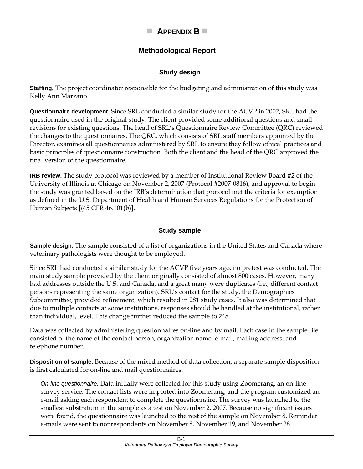# **APPENDIX B**

# **Methodological Report**

# **Study design**

**Staffing.** The project coordinator responsible for the budgeting and administration of this study was Kelly Ann Marzano.

**Questionnaire development.** Since SRL conducted a similar study for the ACVP in 2002, SRL had the questionnaire used in the original study. The client provided some additional questions and small revisions for existing questions. The head of SRL's Questionnaire Review Committee (QRC) reviewed the changes to the questionnaires. The QRC, which consists of SRL staff members appointed by the Director, examines all questionnaires administered by SRL to ensure they follow ethical practices and basic principles of questionnaire construction. Both the client and the head of the QRC approved the final version of the questionnaire.

**IRB review.** The study protocol was reviewed by a member of Institutional Review Board #2 of the University of Illinois at Chicago on November 2, 2007 (Protocol #2007-0816), and approval to begin the study was granted based on the IRB's determination that protocol met the criteria for exemption as defined in the U.S. Department of Health and Human Services Regulations for the Protection of Human Subjects [(45 CFR 46.101(b)].

# **Study sample**

**Sample design.** The sample consisted of a list of organizations in the United States and Canada where veterinary pathologists were thought to be employed.

Since SRL had conducted a similar study for the ACVP five years ago, no pretest was conducted. The main study sample provided by the client originally consisted of almost 800 cases. However, many had addresses outside the U.S. and Canada, and a great many were duplicates (i.e., different contact persons representing the same organization). SRL's contact for the study, the Demographics Subcommittee, provided refinement, which resulted in 281 study cases. It also was determined that due to multiple contacts at some institutions, responses should be handled at the institutional, rather than individual, level. This change further reduced the sample to 248.

Data was collected by administering questionnaires on-line and by mail. Each case in the sample file consisted of the name of the contact person, organization name, e-mail, mailing address, and telephone number.

**Disposition of sample.** Because of the mixed method of data collection, a separate sample disposition is first calculated for on-line and mail questionnaires.

*On-line questionnaire.* Data initially were collected for this study using Zoomerang, an on-line survey service. The contact lists were imported into Zoomerang, and the program customized an e-mail asking each respondent to complete the questionnaire. The survey was launched to the smallest substratum in the sample as a test on November 2, 2007. Because no significant issues were found, the questionnaire was launched to the rest of the sample on November 8. Reminder e-mails were sent to nonrespondents on November 8, November 19, and November 28.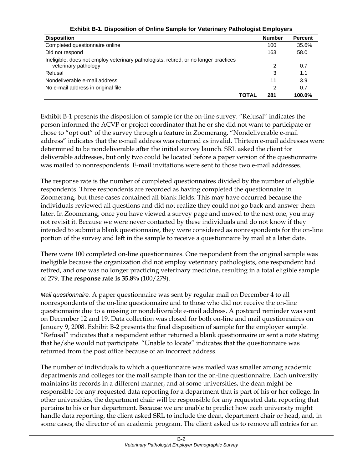| <b>Disposition</b>                                                                                           |              | <b>Number</b> | <b>Percent</b> |
|--------------------------------------------------------------------------------------------------------------|--------------|---------------|----------------|
| Completed questionnaire online                                                                               |              | 100           | 35.6%          |
| Did not respond                                                                                              |              | 163           | 58.0           |
| Ineligible, does not employ veterinary pathologists, retired, or no longer practices<br>veterinary pathology |              | 2             | 0.7            |
| Refusal                                                                                                      |              | 3             | 1.1            |
| Nondeliverable e-mail address                                                                                |              | 11            | 3.9            |
| No e-mail address in original file                                                                           |              |               | 0.7            |
|                                                                                                              | <b>TOTAL</b> | 281           | 100.0%         |

**Exhibit B-1. Disposition of Online Sample for Veterinary Pathologist Employers** 

Exhibit B-1 presents the disposition of sample for the on-line survey. "Refusal" indicates the person informed the ACVP or project coordinator that he or she did not want to participate or chose to "opt out" of the survey through a feature in Zoomerang. "Nondeliverable e-mail address" indicates that the e-mail address was returned as invalid. Thirteen e-mail addresses were determined to be nondeliverable after the initial survey launch. SRL asked the client for deliverable addresses, but only two could be located before a paper version of the questionnaire was mailed to nonrespondents. E-mail invitations were sent to those two e-mail addresses.

The response rate is the number of completed questionnaires divided by the number of eligible respondents. Three respondents are recorded as having completed the questionnaire in Zoomerang, but these cases contained all blank fields. This may have occurred because the individuals reviewed all questions and did not realize they could not go back and answer them later. In Zoomerang, once you have viewed a survey page and moved to the next one, you may not revisit it. Because we were never contacted by these individuals and do not know if they intended to submit a blank questionnaire, they were considered as nonrespondents for the on-line portion of the survey and left in the sample to receive a questionnaire by mail at a later date.

There were 100 completed on-line questionnaires. One respondent from the original sample was ineligible because the organization did not employ veterinary pathologists, one respondent had retired, and one was no longer practicing veterinary medicine, resulting in a total eligible sample of 279. **The response rate is 35.8%** (100/279).

*Mail questionnaire.* A paper questionnaire was sent by regular mail on December 4 to all nonrespondents of the on-line questionnaire and to those who did not receive the on-line questionnaire due to a missing or nondeliverable e-mail address. A postcard reminder was sent on December 12 and 19. Data collection was closed for both on-line and mail questionnaires on January 9, 2008. Exhibit B-2 presents the final disposition of sample for the employer sample. "Refusal" indicates that a respondent either returned a blank questionnaire or sent a note stating that he/she would not participate. "Unable to locate" indicates that the questionnaire was returned from the post office because of an incorrect address.

The number of individuals to which a questionnaire was mailed was smaller among academic departments and colleges for the mail sample than for the on-line questionnaire. Each university maintains its records in a different manner, and at some universities, the dean might be responsible for any requested data reporting for a department that is part of his or her college. In other universities, the department chair will be responsible for any requested data reporting that pertains to his or her department. Because we are unable to predict how each university might handle data reporting, the client asked SRL to include the dean, department chair or head, and, in some cases, the director of an academic program. The client asked us to remove all entries for an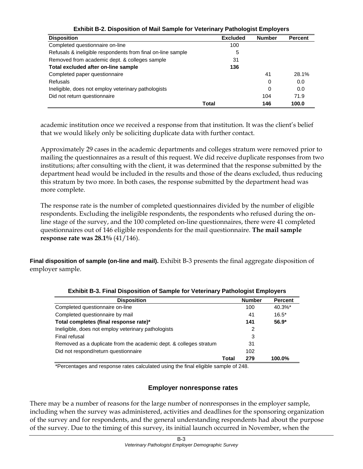| <b>Disposition</b>                                          |       | <b>Excluded</b> | <b>Number</b> | <b>Percent</b> |
|-------------------------------------------------------------|-------|-----------------|---------------|----------------|
| Completed questionnaire on-line                             |       | 100             |               |                |
| Refusals & ineligible respondents from final on-line sample |       | 5               |               |                |
| Removed from academic dept. & colleges sample               |       | 31              |               |                |
| Total excluded after on-line sample                         |       | 136             |               |                |
| Completed paper questionnaire                               |       |                 | 41            | 28.1%          |
| <b>Refusals</b>                                             |       |                 | 0             | 0.0            |
| Ineligible, does not employ veterinary pathologists         |       |                 | 0             | 0.0            |
| Did not return questionnaire                                |       |                 | 104           | 71.9           |
|                                                             | Total |                 | 146           | 100.0          |

**Exhibit B-2. Disposition of Mail Sample for Veterinary Pathologist Employers** 

academic institution once we received a response from that institution. It was the client's belief that we would likely only be soliciting duplicate data with further contact.

Approximately 29 cases in the academic departments and colleges stratum were removed prior to mailing the questionnaires as a result of this request. We did receive duplicate responses from two institutions; after consulting with the client, it was determined that the response submitted by the department head would be included in the results and those of the deans excluded, thus reducing this stratum by two more. In both cases, the response submitted by the department head was more complete.

The response rate is the number of completed questionnaires divided by the number of eligible respondents. Excluding the ineligible respondents, the respondents who refused during the online stage of the survey, and the 100 completed on-line questionnaires, there were 41 completed questionnaires out of 146 eligible respondents for the mail questionnaire. **The mail sample response rate was 28.1%** (41/146).

**Final disposition of sample (on-line and mail).** Exhibit B-3 presents the final aggregate disposition of employer sample.

| <b>Disposition</b>                                                |       | <b>Number</b> | <b>Percent</b> |
|-------------------------------------------------------------------|-------|---------------|----------------|
| Completed questionnaire on-line                                   |       | 100           | $40.3\%$ *     |
| Completed questionnaire by mail                                   |       | 41            | $16.5*$        |
| Total completes (final response rate)*                            |       | 141           | $56.9*$        |
| Ineligible, does not employ veterinary pathologists               |       | 2             |                |
| Final refusal                                                     |       | 3             |                |
| Removed as a duplicate from the academic dept. & colleges stratum |       | 31            |                |
| Did not respond/return questionnaire                              |       | 102           |                |
|                                                                   | Total | 279           | 100.0%         |

**Exhibit B-3. Final Disposition of Sample for Veterinary Pathologist Employers** 

\*Percentages and response rates calculated using the final eligible sample of 248.

#### **Employer nonresponse rates**

There may be a number of reasons for the large number of nonresponses in the employer sample, including when the survey was administered, activities and deadlines for the sponsoring organization of the survey and for respondents, and the general understanding respondents had about the purpose of the survey. Due to the timing of this survey, its initial launch occurred in November, when the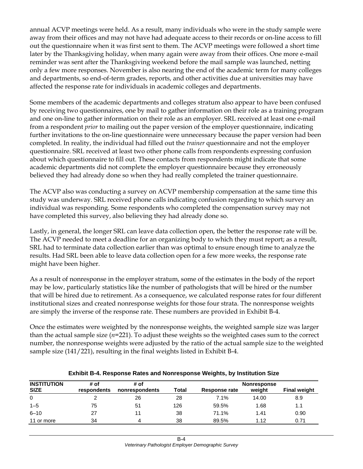annual ACVP meetings were held. As a result, many individuals who were in the study sample were away from their offices and may not have had adequate access to their records or on-line access to fill out the questionnaire when it was first sent to them. The ACVP meetings were followed a short time later by the Thanksgiving holiday, when many again were away from their offices. One more e-mail reminder was sent after the Thanksgiving weekend before the mail sample was launched, netting only a few more responses. November is also nearing the end of the academic term for many colleges and departments, so end-of-term grades, reports, and other activities due at universities may have affected the response rate for individuals in academic colleges and departments.

Some members of the academic departments and colleges stratum also appear to have been confused by receiving two questionnaires, one by mail to gather information on their role as a training program and one on-line to gather information on their role as an employer. SRL received at least one e-mail from a respondent *prior* to mailing out the paper version of the employer questionnaire, indicating further invitations to the on-line questionnaire were unnecessary because the paper version had been completed. In reality, the individual had filled out the *trainer* questionnaire and not the employer questionnaire. SRL received at least two other phone calls from respondents expressing confusion about which questionnaire to fill out. These contacts from respondents might indicate that some academic departments did not complete the employer questionnaire because they erroneously believed they had already done so when they had really completed the trainer questionnaire.

The ACVP also was conducting a survey on ACVP membership compensation at the same time this study was underway. SRL received phone calls indicating confusion regarding to which survey an individual was responding. Some respondents who completed the compensation survey may not have completed this survey, also believing they had already done so.

Lastly, in general, the longer SRL can leave data collection open, the better the response rate will be. The ACVP needed to meet a deadline for an organizing body to which they must report; as a result, SRL had to terminate data collection earlier than was optimal to ensure enough time to analyze the results. Had SRL been able to leave data collection open for a few more weeks, the response rate might have been higher.

As a result of nonresponse in the employer stratum, some of the estimates in the body of the report may be low, particularly statistics like the number of pathologists that will be hired or the number that will be hired due to retirement. As a consequence, we calculated response rates for four different institutional sizes and created nonresponse weights for those four strata. The nonresponse weights are simply the inverse of the response rate. These numbers are provided in Exhibit B-4.

Once the estimates were weighted by the nonresponse weights, the weighted sample size was larger than the actual sample size (*n*=221). To adjust these weights so the weighted cases sum to the correct number, the nonresponse weights were adjusted by the ratio of the actual sample size to the weighted sample size (141/221), resulting in the final weights listed in Exhibit B-4.

| <b>INSTITUTION</b> | # of        | # of           |              |               | Nonresponse |                     |
|--------------------|-------------|----------------|--------------|---------------|-------------|---------------------|
| <b>SIZE</b>        | respondents | nonrespondents | <b>Total</b> | Response rate | weight      | <b>Final weight</b> |
| 0                  |             | 26             | 28           | 7.1%          | 14.00       | 8.9                 |
| $1 - 5$            | 75          | 51             | 126          | 59.5%         | 1.68        | 1.1                 |
| $6 - 10$           | 27          |                | 38           | 71.1%         | 1.41        | 0.90                |
| 11 or more         | 34          | 4              | 38           | 89.5%         | 1.12        | 0.71                |

#### **Exhibit B-4. Response Rates and Nonresponse Weights, by Institution Size**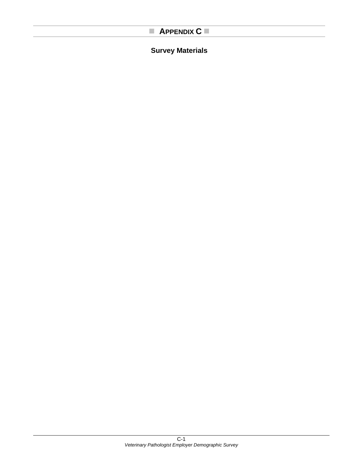# **APPENDIX C**

# **Survey Materials**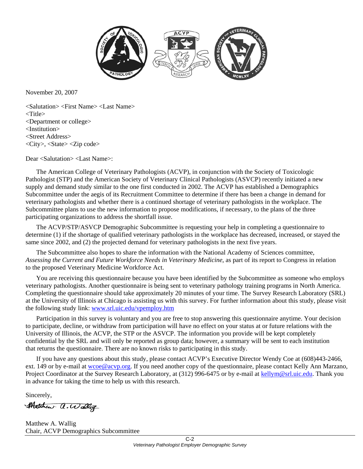

November 20, 2007

<Salutation> <First Name> <Last Name> <Title> <Department or college> <Institution> <Street Address> <City>, <State> <Zip code>

Dear <Salutation> <Last Name>:

The American College of Veterinary Pathologists (ACVP), in conjunction with the Society of Toxicologic Pathologist (STP) and the American Society of Veterinary Clinical Pathologists (ASVCP) recently initiated a new supply and demand study similar to the one first conducted in 2002. The ACVP has established a Demographics Subcommittee under the aegis of its Recruitment Committee to determine if there has been a change in demand for veterinary pathologists and whether there is a continued shortage of veterinary pathologists in the workplace. The Subcommittee plans to use the new information to propose modifications, if necessary, to the plans of the three participating organizations to address the shortfall issue.

The ACVP/STP/ASVCP Demographic Subcommittee is requesting your help in completing a questionnaire to determine (1) if the shortage of qualified veterinary pathologists in the workplace has decreased, increased, or stayed the same since 2002, and (2) the projected demand for veterinary pathologists in the next five years.

The Subcommittee also hopes to share the information with the National Academy of Sciences committee, *Assessing the Current and Future Workforce Needs in Veterinary Medicine*, as part of its report to Congress in relation to the proposed Veterinary Medicine Workforce Act.

You are receiving this questionnaire because you have been identified by the Subcommittee as someone who employs veterinary pathologists. Another questionnaire is being sent to veterinary pathology training programs in North America. Completing the questionnaire should take approximately 20 minutes of your time. The Survey Research Laboratory (SRL) at the University of Illinois at Chicago is assisting us with this survey. For further information about this study, please visit the following study link: www.srl.uic.edu/vpemploy.htm

Participation in this survey is voluntary and you are free to stop answering this questionnaire anytime. Your decision to participate, decline, or withdraw from participation will have no effect on your status at or future relations with the University of Illinois, the ACVP, the STP or the ASVCP. The information you provide will be kept completely confidential by the SRL and will only be reported as group data; however, a summary will be sent to each institution that returns the questionnaire. There are no known risks to participating in this study.

If you have any questions about this study, please contact ACVP's Executive Director Wendy Coe at (608)443-2466, ext. 149 or by e-mail at wcoe@acvp.org. If you need another copy of the questionnaire, please contact Kelly Ann Marzano, Project Coordinator at the Survey Research Laboratory, at (312) 996-6475 or by e-mail at kellym@srl.uic.edu. Thank you in advance for taking the time to help us with this research.

Sincerely,

Matthew a. Walliz

Matthew A. Wallig Chair, ACVP Demographics Subcommittee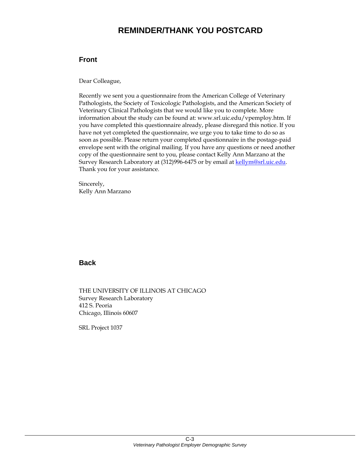# **REMINDER/THANK YOU POSTCARD**

#### **Front**

Dear Colleague,

Recently we sent you a questionnaire from the American College of Veterinary Pathologists, the Society of Toxicologic Pathologists, and the American Society of Veterinary Clinical Pathologists that we would like you to complete. More information about the study can be found at: www.srl.uic.edu/vpemploy.htm. If you have completed this questionnaire already, please disregard this notice. If you have not yet completed the questionnaire, we urge you to take time to do so as soon as possible. Please return your completed questionnaire in the postage-paid envelope sent with the original mailing. If you have any questions or need another copy of the questionnaire sent to you, please contact Kelly Ann Marzano at the Survey Research Laboratory at (312)996-6475 or by email at kellym@srl.uic.edu. Thank you for your assistance.

Sincerely, Kelly Ann Marzano

#### **Back**

THE UNIVERSITY OF ILLINOIS AT CHICAGO Survey Research Laboratory 412 S. Peoria Chicago, Illinois 60607

SRL Project 1037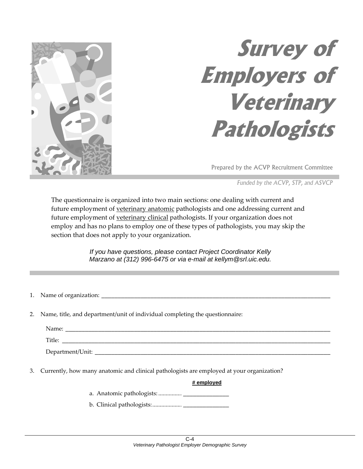

# **Survey of Employers of Veterinary Pathologists**

Prepared by the ACVP Recruitment Committee

*Funded by the ACVP, STP, and ASVCP*

The questionnaire is organized into two main sections: one dealing with current and future employment of veterinary anatomic pathologists and one addressing current and future employment of <u>veterinary clinical</u> pathologists. If your organization does not employ and has no plans to employ one of these types of pathologists, you may skip the section that does not apply to your organization.

> *If you have questions, please contact Project Coordinator Kelly Marzano at (312) 996-6475 or via e-mail at kellym@srl.uic.edu.*

- 1. Name of organization:
- 2. Name, title, and department/unit of individual completing the questionnaire:

| Name: |  |
|-------|--|
|       |  |

Title: \_\_\_\_\_\_\_\_\_\_\_\_\_\_\_\_\_\_\_\_\_\_\_\_\_\_\_\_\_\_\_\_\_\_\_\_\_\_\_\_\_\_\_\_\_\_\_\_\_\_\_\_\_\_\_\_\_\_\_\_\_\_\_\_\_\_\_\_\_\_\_\_\_\_\_\_\_\_\_\_\_\_

Department/Unit: \_\_\_\_\_\_\_\_\_\_\_\_\_\_\_\_\_\_\_\_\_\_\_\_\_\_\_\_\_\_\_\_\_\_\_\_\_\_\_\_\_\_\_\_\_\_\_\_\_\_\_\_\_\_\_\_\_\_\_\_\_\_\_\_\_\_\_\_\_\_\_\_

3. Currently, how many anatomic and clinical pathologists are employed at your organization?

#### **# employed**

- a. Anatomic pathologists: ................ \_\_\_\_\_\_\_\_\_\_\_\_\_\_
- b. Clinical pathologists:.................... \_\_\_\_\_\_\_\_\_\_\_\_\_\_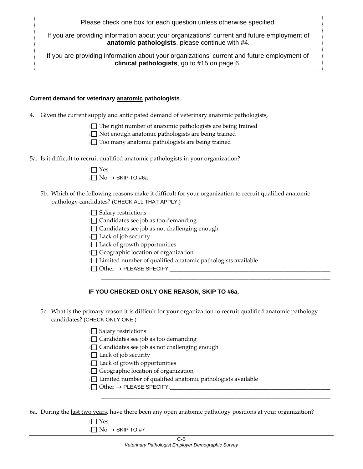Please check one box for each question unless otherwise specified.

If you are providing information about your organizations' current and future employment of **anatomic pathologists**, please continue with #4.

If you are providing information about your organizations' current and future employment of **clinical pathologists**, go to #15 on page 6.

#### **Current demand for veterinary anatomic pathologists**

4. Given the current supply and anticipated demand of veterinary anatomic pathologists,

 $1$  The right number of anatomic pathologists are being trained

 $2\Box$  Not enough anatomic pathologists are being trained

<sup>3</sup> Too many anatomic pathologists are being trained

5a. Is it difficult to recruit qualified anatomic pathologists in your organization?

| $1$ Yes                                  |
|------------------------------------------|
| $2 \square$ No $\rightarrow$ SKIP TO #6a |

5b. Which of the following reasons make it difficult for your organization to recruit qualified anatomic pathology candidates? (CHECK ALL THAT APPLY.)

 $1$  Salary restrictions

- $2 \square$  Candidates see job as too demanding
- <sup>3</sup> Candidates see job as not challenging enough

 $4\Box$  Lack of job security

5<sup>1</sup> Lack of growth opportunities

 $6$  Geographic location of organization

7<sup>1</sup> Limited number of qualified anatomic pathologists available

 $8 \Box$  Other  $\rightarrow$  PLEASE SPECIFY:

#### **IF YOU CHECKED ONLY ONE REASON, SKIP TO #6a.**

5c. What is the primary reason it is difficult for your organization to recruit qualified anatomic pathology candidates? (CHECK ONLY ONE.)

\_\_\_\_\_\_\_\_\_\_\_\_\_\_\_\_\_\_\_\_\_\_\_\_\_\_\_\_\_\_\_\_\_\_\_\_\_\_\_\_\_\_\_\_\_\_\_\_\_\_\_\_\_\_\_\_\_\_\_\_\_\_\_\_\_\_\_\_\_\_

\_\_\_\_\_\_\_\_\_\_\_\_\_\_\_\_\_\_\_\_\_\_\_\_\_\_\_\_\_\_\_\_\_\_\_\_\_\_\_\_\_\_\_\_\_\_\_\_\_\_\_\_\_\_\_\_\_\_\_\_\_\_\_\_\_\_\_\_\_\_

 $1$  Salary restrictions

 $2 \square$  Candidates see job as too demanding

**3** Candidates see job as not challenging enough

 $4\Box$  Lack of job security

5 Lack of growth opportunities

<sup>6</sup>□ Geographic location of organization

7<sup>1</sup> Limited number of qualified anatomic pathologists available

 $8 \Box$  Other  $\rightarrow$  PLEASE SPECIFY:

6a. During the last two years, have there been any open anatomic pathology positions at your organization?

1 $\Box$  Yes

 $2□$  No → SKIP TO #7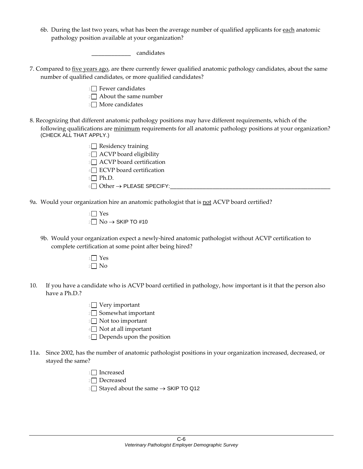6b. During the last two years, what has been the average number of qualified applicants for each anatomic pathology position available at your organization?

\_\_\_\_\_\_\_\_\_\_\_\_ candidates

- 7. Compared to five years ago, are there currently fewer qualified anatomic pathology candidates, about the same number of qualified candidates, or more qualified candidates?
	- $1$  Fewer candidates  $2 \Box$  About the same number
	- **3** More candidates
- 8. Recognizing that different anatomic pathology positions may have different requirements, which of the following qualifications are minimum requirements for all anatomic pathology positions at your organization? (CHECK ALL THAT APPLY.)
	- $1 \square$  Residency training  $2 \square$  ACVP board eligibility **3** ACVP board certification  $4\Box$  ECVP board certification  $5$  Ph.D.  $6 \Box$  Other  $\rightarrow$  PLEASE SPECIFY:
- 9a. Would your organization hire an anatomic pathologist that is not ACVP board certified?
	- 1 $\Box$  Yes  $2 \Box$  No  $\rightarrow$  SKIP TO #10
	- 9b. Would your organization expect a newly‐hired anatomic pathologist without ACVP certification to complete certification at some point after being hired?
		- $1$  Yes  $2 \square$  No
- 10. If you have a candidate who is ACVP board certified in pathology, how important is it that the person also have a Ph.D.?
	- $1$  Very important
	- 2<sup>2</sup> Somewhat important
	- **3** Not too important
	- $4\Box$  Not at all important
	- 5 Depends upon the position
- 11a. Since 2002, has the number of anatomic pathologist positions in your organization increased, decreased, or stayed the same?
	- $1\Box$  Increased
	- 2<sup>2</sup>Decreased
	- 3 Stayed about the same → SKIP TO Q12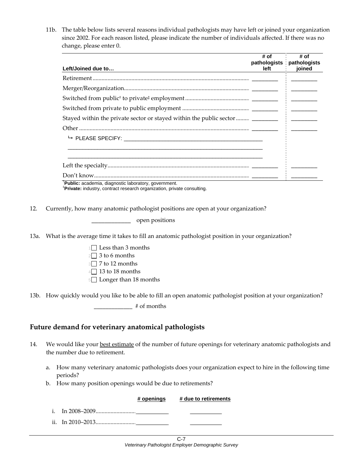11b. The table below lists several reasons individual pathologists may have left or joined your organization since 2002. For each reason listed, please indicate the number of individuals affected. If there was no change, please enter 0.

| Left/Joined due to | # of<br>left | # of<br>pathologists pathologists<br>ioined |
|--------------------|--------------|---------------------------------------------|
|                    |              |                                             |
|                    |              |                                             |
|                    |              |                                             |
|                    |              |                                             |
|                    |              |                                             |
|                    |              |                                             |
|                    |              |                                             |
|                    |              |                                             |
|                    |              |                                             |
|                    |              |                                             |
| Don't know         |              |                                             |

<sup>†</sup>**Public:** academia, diagnostic laboratory, government.<br>‡**Privato**: industry, contract research examination, priva **Private:** industry, contract research organization, private consulting.

12. Currently, how many anatomic pathologist positions are open at your organization?

\_\_\_\_\_\_\_\_\_\_\_\_ open positions

13a. What is the average time it takes to fill an anatomic pathologist position in your organization?

- $1 \square$  Less than 3 months
- $2 \square$  3 to 6 months
- 3<sup>3</sup> 7 to 12 months
- $4 \square$  13 to 18 months
- 5<sup>1</sup> Longer than 18 months

13b. How quickly would you like to be able to fill an open anatomic pathologist position at your organization?

**\_\_\_\_\_\_\_\_\_\_\_\_\_** # of months

#### **Future demand for veterinary anatomical pathologists**

- 14. We would like your best estimate of the number of future openings for veterinary anatomic pathologists and the number due to retirement.
	- a. How many veterinary anatomic pathologists does your organization expect to hire in the following time periods?
	- b. How many position openings would be due to retirements?

|  | # openings # due to retirements |
|--|---------------------------------|
|  |                                 |
|  |                                 |
|  |                                 |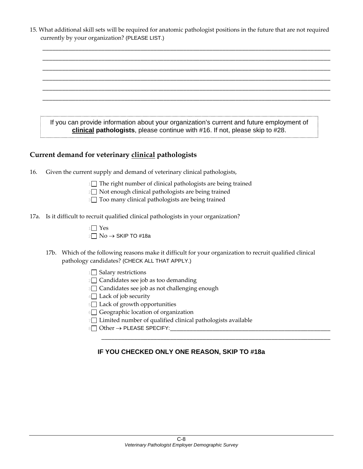|                                                | 15. What additional skill sets will be required for anatomic pathologist positions in the future that are not required |
|------------------------------------------------|------------------------------------------------------------------------------------------------------------------------|
| currently by your organization? (PLEASE LIST.) |                                                                                                                        |

\_\_\_\_\_\_\_\_\_\_\_\_\_\_\_\_\_\_\_\_\_\_\_\_\_\_\_\_\_\_\_\_\_\_\_\_\_\_\_\_\_\_\_\_\_\_\_\_\_\_\_\_\_\_\_\_\_\_\_\_\_\_\_\_\_\_\_\_\_\_\_\_\_\_\_\_\_\_\_\_\_\_\_\_\_\_\_\_ \_\_\_\_\_\_\_\_\_\_\_\_\_\_\_\_\_\_\_\_\_\_\_\_\_\_\_\_\_\_\_\_\_\_\_\_\_\_\_\_\_\_\_\_\_\_\_\_\_\_\_\_\_\_\_\_\_\_\_\_\_\_\_\_\_\_\_\_\_\_\_\_\_\_\_\_\_\_\_\_\_\_\_\_\_\_\_\_ \_\_\_\_\_\_\_\_\_\_\_\_\_\_\_\_\_\_\_\_\_\_\_\_\_\_\_\_\_\_\_\_\_\_\_\_\_\_\_\_\_\_\_\_\_\_\_\_\_\_\_\_\_\_\_\_\_\_\_\_\_\_\_\_\_\_\_\_\_\_\_\_\_\_\_\_\_\_\_\_\_\_\_\_\_\_\_\_ \_\_\_\_\_\_\_\_\_\_\_\_\_\_\_\_\_\_\_\_\_\_\_\_\_\_\_\_\_\_\_\_\_\_\_\_\_\_\_\_\_\_\_\_\_\_\_\_\_\_\_\_\_\_\_\_\_\_\_\_\_\_\_\_\_\_\_\_\_\_\_\_\_\_\_\_\_\_\_\_\_\_\_\_\_\_\_\_ \_\_\_\_\_\_\_\_\_\_\_\_\_\_\_\_\_\_\_\_\_\_\_\_\_\_\_\_\_\_\_\_\_\_\_\_\_\_\_\_\_\_\_\_\_\_\_\_\_\_\_\_\_\_\_\_\_\_\_\_\_\_\_\_\_\_\_\_\_\_\_\_\_\_\_\_\_\_\_\_\_\_\_\_\_\_\_\_ \_\_\_\_\_\_\_\_\_\_\_\_\_\_\_\_\_\_\_\_\_\_\_\_\_\_\_\_\_\_\_\_\_\_\_\_\_\_\_\_\_\_\_\_\_\_\_\_\_\_\_\_\_\_\_\_\_\_\_\_\_\_\_\_\_\_\_\_\_\_\_\_\_\_\_\_\_\_\_\_\_\_\_\_\_\_\_\_

| If you can provide information about your organization's current and future employment of |
|-------------------------------------------------------------------------------------------|
| clinical pathologists, please continue with #16. If not, please skip to #28.              |

# **Current demand for veterinary clinical pathologists**

- 16. Given the current supply and demand of veterinary clinical pathologists,
	- $1$  The right number of clinical pathologists are being trained
	- $2 \square$  Not enough clinical pathologists are being trained
	- <sup>3</sup> Too many clinical pathologists are being trained
- 17a. Is it difficult to recruit qualified clinical pathologists in your organization?
	- $1 \square$  Yes  $2 \Box$  No  $\rightarrow$  SKIP TO #18a
	- 17b. Which of the following reasons make it difficult for your organization to recruit qualified clinical pathology candidates? (CHECK ALL THAT APPLY.)
		- 1<sup>1</sup> Salary restrictions
		- $2$  Candidates see job as too demanding
		- <sup>3</sup> Candidates see job as not challenging enough
		- 4<sup>1</sup> Lack of job security
		- 5 Lack of growth opportunities
		- $6$  Geographic location of organization
		- 7 Limited number of qualified clinical pathologists available
		- $8 \Box$  Other  $\rightarrow$  PLEASE SPECIFY:

#### **IF YOU CHECKED ONLY ONE REASON, SKIP TO #18a**

\_\_\_\_\_\_\_\_\_\_\_\_\_\_\_\_\_\_\_\_\_\_\_\_\_\_\_\_\_\_\_\_\_\_\_\_\_\_\_\_\_\_\_\_\_\_\_\_\_\_\_\_\_\_\_\_\_\_\_\_\_\_\_\_\_\_\_\_\_\_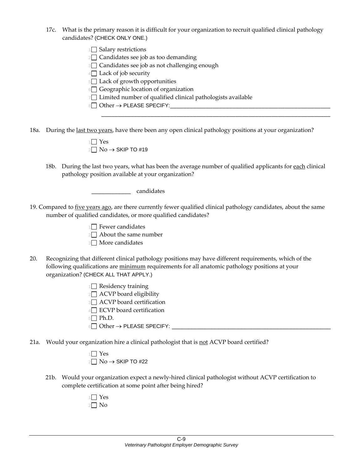- 17c. What is the primary reason it is difficult for your organization to recruit qualified clinical pathology candidates? (CHECK ONLY ONE.)
	- $1$  Salary restrictions
	- $2\Box$  Candidates see job as too demanding
	- 3<sup>1</sup> Candidates see job as not challenging enough
	- $4\Box$  Lack of job security
	- 5<sup>1</sup> Lack of growth opportunities
	- $6$  Geographic location of organization
	- 7<sup>1</sup> Limited number of qualified clinical pathologists available
	- <sup>8</sup> Other → PLEASE SPECIFY:\_\_\_\_\_\_\_\_\_\_\_\_\_\_\_\_\_\_\_\_\_\_\_\_\_\_\_\_\_\_\_\_\_\_\_\_\_\_\_\_\_\_\_\_\_\_\_\_\_
- 18a. During the last two years, have there been any open clinical pathology positions at your organization?

| $1 \square$ Yes          |
|--------------------------|
| $2\Box$ No → SKIP TO #19 |

18b. During the last two years, what has been the average number of qualified applicants for each clinical pathology position available at your organization?

\_\_\_\_\_\_\_\_\_\_\_\_\_\_\_\_\_\_\_\_\_\_\_\_\_\_\_\_\_\_\_\_\_\_\_\_\_\_\_\_\_\_\_\_\_\_\_\_\_\_\_\_\_\_\_\_\_\_\_\_\_\_\_\_\_\_\_\_\_\_

\_\_\_\_\_\_\_\_\_\_\_\_ candidates

- 19. Compared to <u>five years ago</u>, are there currently fewer qualified clinical pathology candidates, about the same number of qualified candidates, or more qualified candidates?
	- $1 \square$  Fewer candidates

 $2 \Box$  About the same number

- 3<del>∩</del> More candidates
- 20. Recognizing that different clinical pathology positions may have different requirements, which of the following qualifications are minimum requirements for all anatomic pathology positions at your organization? (CHECK ALL THAT APPLY.)
	- 1<sup>1</sup> Residency training
	- $2 \Box$  ACVP board eligibility
	- **3** ACVP board certification
	- $4\Box$  ECVP board certification
	- $5$  Ph.D.
	- $6 \Box$  Other  $\rightarrow$  PLEASE SPECIFY:
- 21a. Would your organization hire a clinical pathologist that is not ACVP board certified?

 $1 \square$  Yes  $2 \Box$  No  $\rightarrow$  SKIP TO #22

21b. Would your organization expect a newly‐hired clinical pathologist without ACVP certification to complete certification at some point after being hired?

| c |
|---|
|   |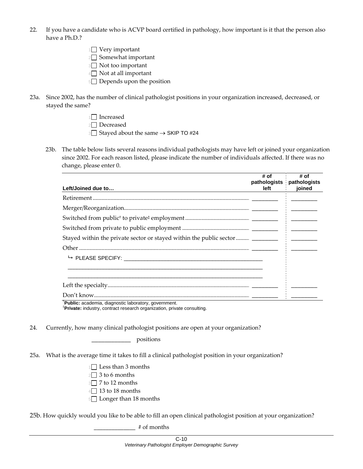- 22. If you have a candidate who is ACVP board certified in pathology, how important is it that the person also have a Ph.D.?
	- $1$  Very important
	- $2 \square$  Somewhat important
	- **3** Not too important
	- $4\Box$  Not at all important
	- 5 Depends upon the position
- 23a. Since 2002, has the number of clinical pathologist positions in your organization increased, decreased, or stayed the same?
	- $1$  Increased
	- $2 \Box$  Decreased

3 Stayed about the same → SKIP TO #24

23b. The table below lists several reasons individual pathologists may have left or joined your organization since 2002. For each reason listed, please indicate the number of individuals affected. If there was no change, please enter 0.

|                                                                                | # of | # of<br>pathologists pathologists                              |
|--------------------------------------------------------------------------------|------|----------------------------------------------------------------|
| Left/Joined due to                                                             | left | ioined                                                         |
|                                                                                |      |                                                                |
|                                                                                |      |                                                                |
|                                                                                |      |                                                                |
|                                                                                |      | <u> 1999 - Alexandro Alexandro III e alexandro de la conte</u> |
| Stayed within the private sector or stayed within the public sector  _________ |      |                                                                |
|                                                                                |      |                                                                |
|                                                                                |      |                                                                |
|                                                                                |      |                                                                |
|                                                                                |      |                                                                |
|                                                                                |      |                                                                |
|                                                                                |      |                                                                |

<sup>†</sup>**Public:** academia, diagnostic laboratory, government.<br>‡**Private:** industry, contrast research examination, priva

**Private:** industry, contract research organization, private consulting.

24. Currently, how many clinical pathologist positions are open at your organization?

\_\_\_\_\_\_\_\_\_\_\_\_ positions

- 25a. What is the average time it takes to fill a clinical pathologist position in your organization?
	- $1 \square$  Less than 3 months
	- $2 \square$  3 to 6 months
	- $3$  7 to 12 months
	- $4$  13 to 18 months
	- 5<sup>1</sup> Longer than 18 months

25b. How quickly would you like to be able to fill an open clinical pathologist position at your organization?

**\_\_\_\_\_\_\_\_\_\_\_\_\_\_** # of months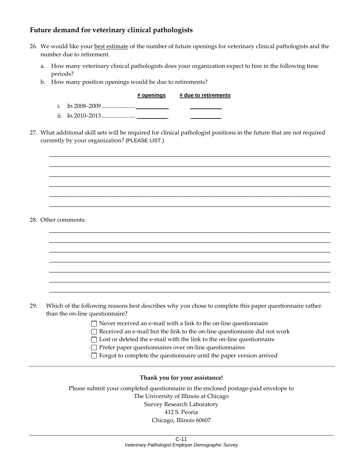# **Future demand for veterinary clinical pathologists**

- 26. We would like your best estimate of the number of future openings for veterinary clinical pathologists and the number due to retirement.
	- a. How many veterinary clinical pathologists does your organization expect to hire in the following time periods?
	- b. How many position openings would be due to retirements?

#### **# openings # due to retirements**

\_\_\_\_\_\_\_\_\_\_\_\_\_\_\_\_\_\_\_\_\_\_\_\_\_\_\_\_\_\_\_\_\_\_\_\_\_\_\_\_\_\_\_\_\_\_\_\_\_\_\_\_\_\_\_\_\_\_\_\_\_\_\_\_\_\_\_\_\_\_\_\_\_\_\_\_\_\_\_\_\_\_\_\_\_\_ \_\_\_\_\_\_\_\_\_\_\_\_\_\_\_\_\_\_\_\_\_\_\_\_\_\_\_\_\_\_\_\_\_\_\_\_\_\_\_\_\_\_\_\_\_\_\_\_\_\_\_\_\_\_\_\_\_\_\_\_\_\_\_\_\_\_\_\_\_\_\_\_\_\_\_\_\_\_\_\_\_\_\_\_\_\_ \_\_\_\_\_\_\_\_\_\_\_\_\_\_\_\_\_\_\_\_\_\_\_\_\_\_\_\_\_\_\_\_\_\_\_\_\_\_\_\_\_\_\_\_\_\_\_\_\_\_\_\_\_\_\_\_\_\_\_\_\_\_\_\_\_\_\_\_\_\_\_\_\_\_\_\_\_\_\_\_\_\_\_\_\_\_ \_\_\_\_\_\_\_\_\_\_\_\_\_\_\_\_\_\_\_\_\_\_\_\_\_\_\_\_\_\_\_\_\_\_\_\_\_\_\_\_\_\_\_\_\_\_\_\_\_\_\_\_\_\_\_\_\_\_\_\_\_\_\_\_\_\_\_\_\_\_\_\_\_\_\_\_\_\_\_\_\_\_\_\_\_\_ \_\_\_\_\_\_\_\_\_\_\_\_\_\_\_\_\_\_\_\_\_\_\_\_\_\_\_\_\_\_\_\_\_\_\_\_\_\_\_\_\_\_\_\_\_\_\_\_\_\_\_\_\_\_\_\_\_\_\_\_\_\_\_\_\_\_\_\_\_\_\_\_\_\_\_\_\_\_\_\_\_\_\_\_\_\_ \_\_\_\_\_\_\_\_\_\_\_\_\_\_\_\_\_\_\_\_\_\_\_\_\_\_\_\_\_\_\_\_\_\_\_\_\_\_\_\_\_\_\_\_\_\_\_\_\_\_\_\_\_\_\_\_\_\_\_\_\_\_\_\_\_\_\_\_\_\_\_\_\_\_\_\_\_\_\_\_\_\_\_\_\_\_

\_\_\_\_\_\_\_\_\_\_\_\_\_\_\_\_\_\_\_\_\_\_\_\_\_\_\_\_\_\_\_\_\_\_\_\_\_\_\_\_\_\_\_\_\_\_\_\_\_\_\_\_\_\_\_\_\_\_\_\_\_\_\_\_\_\_\_\_\_\_\_\_\_\_\_\_\_\_\_\_\_\_\_\_\_\_ \_\_\_\_\_\_\_\_\_\_\_\_\_\_\_\_\_\_\_\_\_\_\_\_\_\_\_\_\_\_\_\_\_\_\_\_\_\_\_\_\_\_\_\_\_\_\_\_\_\_\_\_\_\_\_\_\_\_\_\_\_\_\_\_\_\_\_\_\_\_\_\_\_\_\_\_\_\_\_\_\_\_\_\_\_\_ \_\_\_\_\_\_\_\_\_\_\_\_\_\_\_\_\_\_\_\_\_\_\_\_\_\_\_\_\_\_\_\_\_\_\_\_\_\_\_\_\_\_\_\_\_\_\_\_\_\_\_\_\_\_\_\_\_\_\_\_\_\_\_\_\_\_\_\_\_\_\_\_\_\_\_\_\_\_\_\_\_\_\_\_\_\_ \_\_\_\_\_\_\_\_\_\_\_\_\_\_\_\_\_\_\_\_\_\_\_\_\_\_\_\_\_\_\_\_\_\_\_\_\_\_\_\_\_\_\_\_\_\_\_\_\_\_\_\_\_\_\_\_\_\_\_\_\_\_\_\_\_\_\_\_\_\_\_\_\_\_\_\_\_\_\_\_\_\_\_\_\_\_ \_\_\_\_\_\_\_\_\_\_\_\_\_\_\_\_\_\_\_\_\_\_\_\_\_\_\_\_\_\_\_\_\_\_\_\_\_\_\_\_\_\_\_\_\_\_\_\_\_\_\_\_\_\_\_\_\_\_\_\_\_\_\_\_\_\_\_\_\_\_\_\_\_\_\_\_\_\_\_\_\_\_\_\_\_\_ \_\_\_\_\_\_\_\_\_\_\_\_\_\_\_\_\_\_\_\_\_\_\_\_\_\_\_\_\_\_\_\_\_\_\_\_\_\_\_\_\_\_\_\_\_\_\_\_\_\_\_\_\_\_\_\_\_\_\_\_\_\_\_\_\_\_\_\_\_\_\_\_\_\_\_\_\_\_\_\_\_\_\_\_\_\_ \_\_\_\_\_\_\_\_\_\_\_\_\_\_\_\_\_\_\_\_\_\_\_\_\_\_\_\_\_\_\_\_\_\_\_\_\_\_\_\_\_\_\_\_\_\_\_\_\_\_\_\_\_\_\_\_\_\_\_\_\_\_\_\_\_\_\_\_\_\_\_\_\_\_\_\_\_\_\_\_\_\_\_\_\_\_

- i. In 2008–2009....................... \_\_\_\_\_\_\_\_\_\_ \_\_\_\_\_\_\_\_\_\_
- ii. In 2010–2013....................... \_\_\_\_\_\_\_\_\_\_ \_\_\_\_\_\_\_\_\_\_
- 27. What additional skill sets will be required for clinical pathologist positions in the future that are not required currently by your organization? (PLEASE LIST.)

28. Other comments:

- 29. Which of the following reasons best describes why you chose to complete this paper questionnaire rather than the on-line questionnaire?
	- $1 \Box$  Never received an e-mail with a link to the on-line questionnaire
	- 2□ Received an e-mail but the link to the on-line questionnaire did not work
	- 3 Lost or deleted the e-mail with the link to the on-line questionnaire
	- 4 Prefer paper questionnaires over on‐line questionnaires
	- 5<sup>1</sup> Forgot to complete the questionnaire until the paper version arrived

#### **Thank you for your assistance!**

Please submit your completed questionnaire in the enclosed postage‐paid envelope to The University of Illinois at Chicago Survey Research Laboratory 412 S. Peoria Chicago, Illinois 60607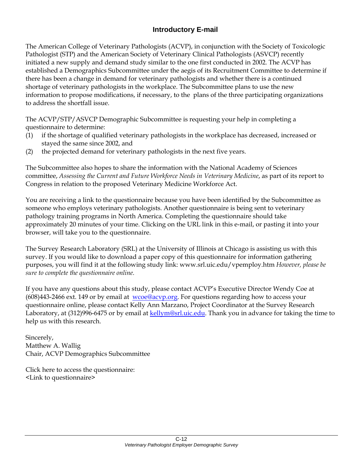# **Introductory E-mail**

The American College of Veterinary Pathologists (ACVP), in conjunction with the Society of Toxicologic Pathologist (STP) and the American Society of Veterinary Clinical Pathologists (ASVCP) recently initiated a new supply and demand study similar to the one first conducted in 2002. The ACVP has established a Demographics Subcommittee under the aegis of its Recruitment Committee to determine if there has been a change in demand for veterinary pathologists and whether there is a continued shortage of veterinary pathologists in the workplace. The Subcommittee plans to use the new information to propose modifications, if necessary, to the plans of the three participating organizations to address the shortfall issue.

The ACVP/STP/ASVCP Demographic Subcommittee is requesting your help in completing a questionnaire to determine:

- (1) if the shortage of qualified veterinary pathologists in the workplace has decreased, increased or stayed the same since 2002, and
- (2) the projected demand for veterinary pathologists in the next five years.

The Subcommittee also hopes to share the information with the National Academy of Sciences committee, *Assessing the Current and Future Workforce Needs in Veterinary Medicine*, as part of its report to Congress in relation to the proposed Veterinary Medicine Workforce Act.

You are receiving a link to the questionnaire because you have been identified by the Subcommittee as someone who employs veterinary pathologists. Another questionnaire is being sent to veterinary pathology training programs in North America. Completing the questionnaire should take approximately 20 minutes of your time. Clicking on the URL link in this e-mail, or pasting it into your browser, will take you to the questionnaire.

The Survey Research Laboratory (SRL) at the University of Illinois at Chicago is assisting us with this survey. If you would like to download a paper copy of this questionnaire for information gathering purposes, you will find it at the following study link: www.srl.uic.edu/vpemploy.htm *However, please be sure to complete the questionnaire online.*

If you have any questions about this study, please contact ACVP's Executive Director Wendy Coe at (608)443-2466 ext. 149 or by email at wcoe@acvp.org. For questions regarding how to access your questionnaire online, please contact Kelly Ann Marzano, Project Coordinator at the Survey Research Laboratory, at (312)996-6475 or by email at kellym@srl.uic.edu. Thank you in advance for taking the time to help us with this research.

Sincerely, Matthew A. Wallig Chair, ACVP Demographics Subcommittee

Click here to access the questionnaire: <Link to questionnaire>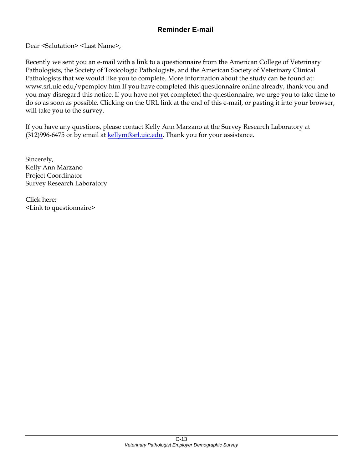Dear <Salutation> <Last Name>,

Recently we sent you an e-mail with a link to a questionnaire from the American College of Veterinary Pathologists, the Society of Toxicologic Pathologists, and the American Society of Veterinary Clinical Pathologists that we would like you to complete. More information about the study can be found at: www.srl.uic.edu/vpemploy.htm If you have completed this questionnaire online already, thank you and you may disregard this notice. If you have not yet completed the questionnaire, we urge you to take time to do so as soon as possible. Clicking on the URL link at the end of this e-mail, or pasting it into your browser, will take you to the survey.

If you have any questions, please contact Kelly Ann Marzano at the Survey Research Laboratory at  $(312)996-6475$  or by email at  $kellym@srl.uic.edu$ . Thank you for your assistance.

Sincerely, Kelly Ann Marzano Project Coordinator Survey Research Laboratory

Click here: <Link to questionnaire>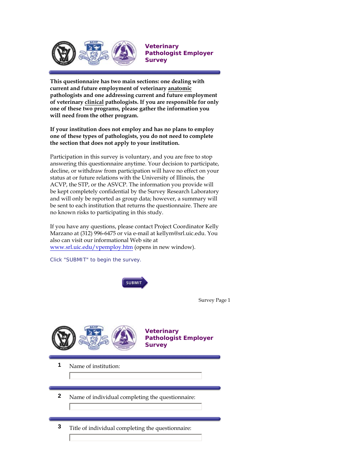

**Veterinary Pathologist Employer Survey**

**This questionnaire has two main sections: one dealing with current and future employment of veterinary anatomic pathologists and one addressing current and future employment of veterinary clinical pathologists. If you are responsible for only one of these two programs, please gather the information you will need from the other program.** 

**If your institution does not employ and has no plans to employ one of these types of pathologists, you do not need to complete the section that does not apply to your institution.**

Participation in this survey is voluntary, and you are free to stop answering this questionnaire anytime. Your decision to participate, decline, or withdraw from participation will have no effect on your status at or future relations with the University of Illinois, the ACVP, the STP, or the ASVCP. The information you provide will be kept completely confidential by the Survey Research Laboratory and will only be reported as group data; however, a summary will be sent to each institution that returns the questionnaire. There are no known risks to participating in this study.

If you have any questions, please contact Project Coordinator Kelly Marzano at (312) 996-6475 or via e-mail at kellym@srl.uic.edu. You also can visit our informational Web site at www.srl.uic.edu/vpemploy.htm (opens in new window).

**SUBMIT** 

Click "SUBMIT" to begin the survey.

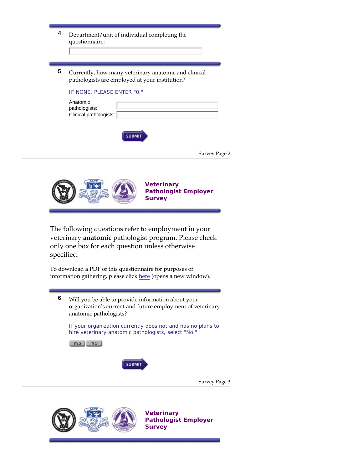| 4 | Department/unit of individual completing the<br>questionnaire:                                                                                                                              |
|---|---------------------------------------------------------------------------------------------------------------------------------------------------------------------------------------------|
| 5 | Currently, how many veterinary anatomic and clinical<br>pathologists are employed at your institution?<br>IF NONE, PLEASE ENTER "0."<br>Anatomic<br>pathologists:<br>Clinical pathologists: |
|   | <b>SUBMIT</b>                                                                                                                                                                               |

| Survey Page 2 |  |  |
|---------------|--|--|
|---------------|--|--|



The following questions refer to employment in your veterinary **anatomic** pathologist program. Please check only one box for each question unless otherwise specified.

To download a PDF of this questionnaire for purposes of information gathering, please click here (opens a new window).

**6** Will you be able to provide information about your organization's current and future employment of veterinary anatomic pathologists?

If your organization currently does not and has no plans to hire veterinary anatomic pathologists, select "No."

YES NO



Survey Page 3



**Veterinary Pathologist Employer Survey**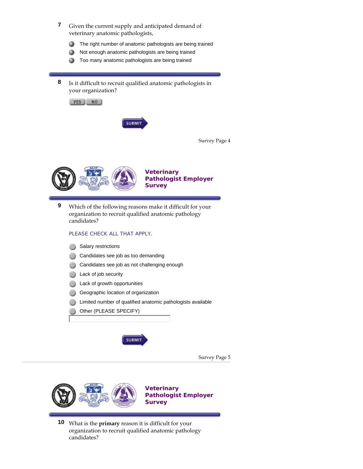- **7** Given the current supply and anticipated demand of veterinary anatomic pathologists,
	- The right number of anatomic pathologists are being trained 0
	- Not enough anatomic pathologists are being trained 0
	- Too many anatomic pathologists are being trained 0
- **8** Is it difficult to recruit qualified anatomic pathologists in your organization?



|  | Survey Page 4 |  |
|--|---------------|--|
|--|---------------|--|



**Veterinary Pathologist Employer Survey**

**9** Which of the following reasons make it difficult for your organization to recruit qualified anatomic pathology candidates?

#### PLEASE CHECK ALL THAT APPLY.

- Salary restrictions
- Candidates see job as too demanding
- Candidates see job as not challenging enough
- Lack of job security
- Lack of growth opportunities
- Geographic location of organization
- Limited number of qualified anatomic pathologists available
- Other (PLEASE SPECIFY)



Survey Page 5



**10** What is the **primary** reason it is difficult for your organization to recruit qualified anatomic pathology candidates?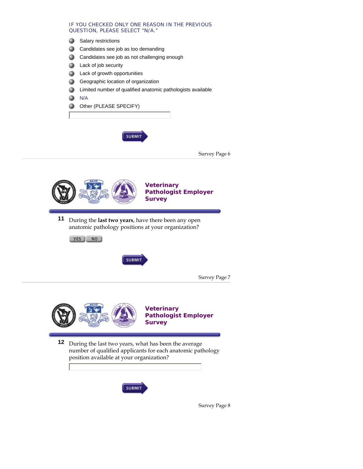#### IF YOU CHECKED ONLY ONE REASON IN THE PREVIOUS QUESTION, PLEASE SELECT "N/A."

- Salary restrictions 0
- 0 Candidates see job as too demanding
- Candidates see job as not challenging enough 0
- Lack of job security 0
- Lack of growth opportunities 0
- Geographic location of organization 0
- Limited number of qualified anatomic pathologists available Ο

N/A ≏

Other (PLEASE SPECIFY) a

**SUBMIT** 





**11** During the **last two years**, have there been any open anatomic pathology positions at your organization?

YES NO



Survey Page 7



**Pathologist Employer** 

**12** During the last two years, what has been the average number of qualified applicants for each anatomic pathology position available at your organization?



Survey Page 8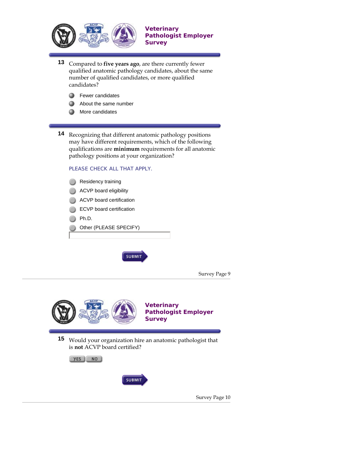

**Pathologist Employer Survey**

**Veterinary** 

- **13** Compared to **five years ago**, are there currently fewer qualified anatomic pathology candidates, about the same number of qualified candidates, or more qualified candidates?
	- 0 Fewer candidates
	- 0 About the same number
	- More candidates 0

**14** Recognizing that different anatomic pathology positions may have different requirements, which of the following qualifications are **minimum** requirements for all anatomic pathology positions at your organization?

#### PLEASE CHECK ALL THAT APPLY.

**15** Would your organization hire an anatomic pathologist that is **not** ACVP board certified?





Survey Page 10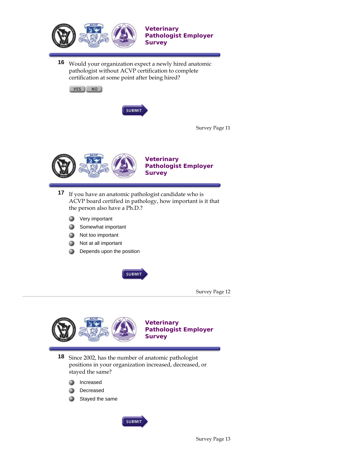

**16** Would your organization expect a newly hired anatomic pathologist without ACVP certification to complete certification at some point after being hired?





Survey Page 11



**Veterinary Pathologist Employer Survey**

- **17** If you have an anatomic pathologist candidate who is ACVP board certified in pathology, how important is it that the person also have a Ph.D.?
	- Very important 0
	- Somewhat important 0
	- Not too important 0
	- ۵ Not at all important
	- Depends upon the position 0

**SUBMIT** 

Survey Page 12



**Veterinary Pathologist Employer Survey**

**18** Since 2002, has the number of anatomic pathologist positions in your organization increased, decreased, or stayed the same?

- Increased 0
- Decreased Ω
- ≏ Stayed the same

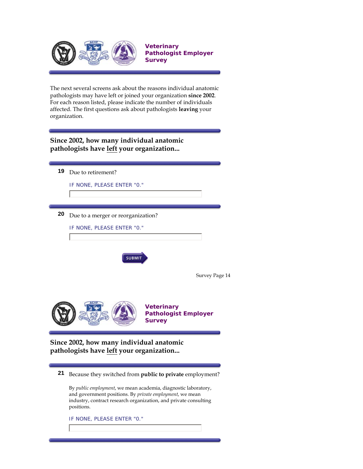

The next several screens ask about the reasons individual anatomic pathologists may have left or joined your organization **since 2002**. For each reason listed, please indicate the number of individuals affected. The first questions ask about pathologists **leaving** your organization.

# **Since 2002, how many individual anatomic pathologists have left your organization...**

| 19 | Due to retirement?                                                                                                                                                                                                   |
|----|----------------------------------------------------------------------------------------------------------------------------------------------------------------------------------------------------------------------|
|    | IF NONE, PLEASE ENTER "0."                                                                                                                                                                                           |
|    |                                                                                                                                                                                                                      |
|    |                                                                                                                                                                                                                      |
| 20 | Due to a merger or reorganization?                                                                                                                                                                                   |
|    | IF NONE, PLEASE ENTER "0."                                                                                                                                                                                           |
|    |                                                                                                                                                                                                                      |
|    |                                                                                                                                                                                                                      |
|    | <b>SUBMIT</b>                                                                                                                                                                                                        |
|    |                                                                                                                                                                                                                      |
|    | Survey Page 14                                                                                                                                                                                                       |
|    |                                                                                                                                                                                                                      |
|    |                                                                                                                                                                                                                      |
|    | <b>Veterinary</b><br><b>Pathologist Employer</b>                                                                                                                                                                     |
|    | <b>Survey</b>                                                                                                                                                                                                        |
|    |                                                                                                                                                                                                                      |
|    | Since 2002, how many individual anatomic                                                                                                                                                                             |
|    | pathologists have left your organization                                                                                                                                                                             |
|    |                                                                                                                                                                                                                      |
| 21 | Because they switched from public to private employment?                                                                                                                                                             |
|    | By public employment, we mean academia, diagnostic laboratory,<br>and government positions. By <i>private employment</i> , we mean<br>industry, contract research organization, and private consulting<br>positions. |
|    | IF NONE, PLEASE ENTER "0."                                                                                                                                                                                           |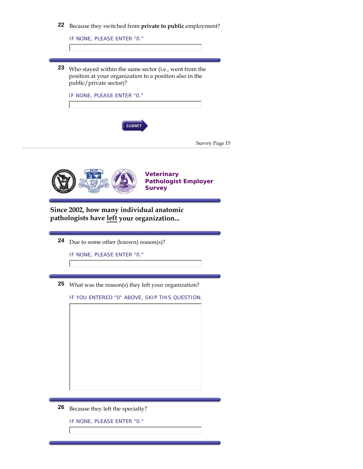

IF NONE, PLEASE ENTER "0."

**23** Who stayed within the same sector (i.e., went from the position at your organization to a position also in the public/private sector)?

IF NONE, PLEASE ENTER "0."



| Survey Page 15 |  |  |
|----------------|--|--|
|----------------|--|--|



**Since 2002, how many individual anatomic pathologists have left your organization...**

**24** Due to some other (known) reason(s)?

IF NONE, PLEASE ENTER "0."

**25** What was the reason(s) they left your organization?

IF YOU ENTERED "0" ABOVE, SKIP THIS QUESTION.



**26** Because they left the specialty?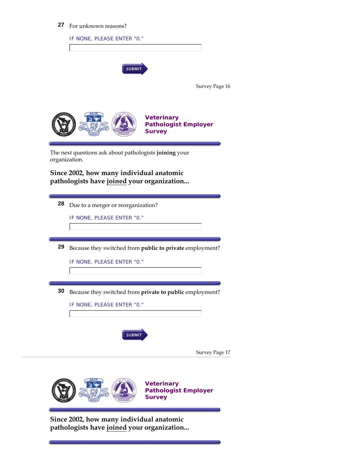# **27** For unknown reasons?

|    | <b>SUBMIT</b>                                                           |
|----|-------------------------------------------------------------------------|
|    | Survey Page 16                                                          |
|    | <b>Veterinary</b><br><b>Pathologist Employer</b><br><b>Survey</b>       |
|    | The next questions ask about pathologists joining your<br>organization. |
|    | Since 2002, how many individual anatomic                                |
|    | pathologists have joined your organization                              |
| 28 |                                                                         |
|    | Due to a merger or reorganization?<br>IF NONE, PLEASE ENTER "0."        |
|    |                                                                         |
|    |                                                                         |
| 29 | Because they switched from public to private employment?                |
|    | IF NONE, PLEASE ENTER "0."                                              |
|    |                                                                         |
| 30 | Because they switched from private to public employment?                |
|    | IF NONE, PLEASE ENTER "0."                                              |
|    |                                                                         |
|    | <b>SUBMIT</b>                                                           |
|    |                                                                         |
|    | Survey Page 17                                                          |
|    | <b>Veterinary</b>                                                       |

**Since 2002, how many individual anatomic pathologists have joined your organization...**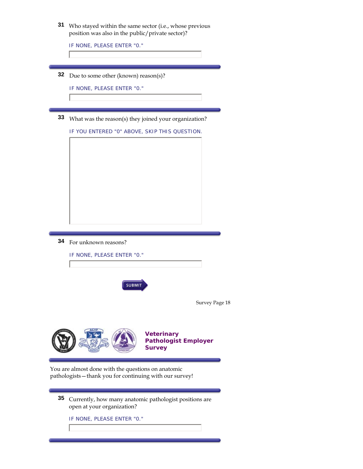| 31 Who stayed within the same sector (i.e., whose previous |                                                  |  |  |
|------------------------------------------------------------|--------------------------------------------------|--|--|
|                                                            | position was also in the public/private sector)? |  |  |

IF NONE, PLEASE ENTER "0."

**32** Due to some other (known) reason(s)?

IF NONE, PLEASE ENTER "0."

**33** What was the reason(s) they joined your organization?

IF YOU ENTERED "0" ABOVE, SKIP THIS QUESTION.



**34** For unknown reasons?

| IF NONE, PLEASE ENTER "0."                                                                                     |                                                                   |  |  |  |
|----------------------------------------------------------------------------------------------------------------|-------------------------------------------------------------------|--|--|--|
|                                                                                                                |                                                                   |  |  |  |
| <b>SUBMIT</b>                                                                                                  |                                                                   |  |  |  |
|                                                                                                                | Survey Page 18                                                    |  |  |  |
|                                                                                                                |                                                                   |  |  |  |
|                                                                                                                | <b>Veterinary</b><br><b>Pathologist Employer</b><br><b>Survey</b> |  |  |  |
|                                                                                                                |                                                                   |  |  |  |
| You are almost done with the questions on anatomic<br>pathologists - thank you for continuing with our survey! |                                                                   |  |  |  |

**35** Currently, how many anatomic pathologist positions are open at your organization?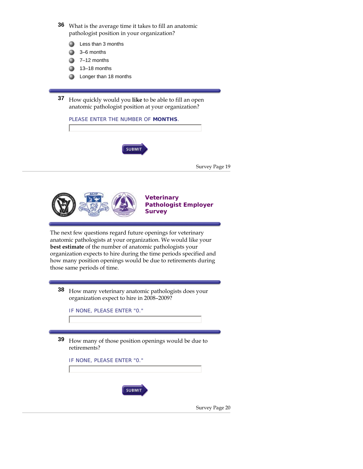**36** What is the average time it takes to fill an anatomic pathologist position in your organization?

- Less than 3 months o
- 3–6 months ക
- 7–12 months
- 13–18 months
- **C** Longer than 18 months

**37** How quickly would you **like** to be able to fill an open anatomic pathologist position at your organization?

| PLEASE ENTER THE NUMBER OF MONTHS. |               |
|------------------------------------|---------------|
| <b>SUBMIT</b>                      | Survey Page 1 |
|                                    |               |



#### **Veterinary Pathologist Employer Survey**

l9

The next few questions regard future openings for veterinary anatomic pathologists at your organization. We would like your **best estimate** of the number of anatomic pathologists your organization expects to hire during the time periods specified and how many position openings would be due to retirements during those same periods of time.

**38** How many veterinary anatomic pathologists does your organization expect to hire in 2008–2009?

IF NONE, PLEASE ENTER "0."

**39** How many of those position openings would be due to retirements?

IF NONE, PLEASE ENTER "0."



Survey Page 20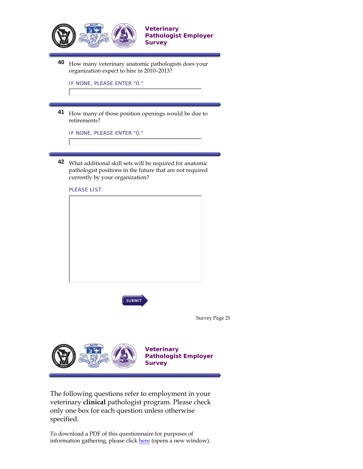

organization expect to hire in 2010–2013?

IF NONE, PLEASE ENTER "0."

**41** How many of those position openings would be due to retirements?

IF NONE, PLEASE ENTER "0."

**42** What additional skill sets will be required for anatomic pathologist positions in the future that are not required currently by your organization?





Survey Page 21



**Veterinary Pathologist Employer Survey**

The following questions refer to employment in your veterinary **clinical** pathologist program. Please check only one box for each question unless otherwise specified.

To download a PDF of this questionnaire for purposes of information gathering, please click here (opens a new window).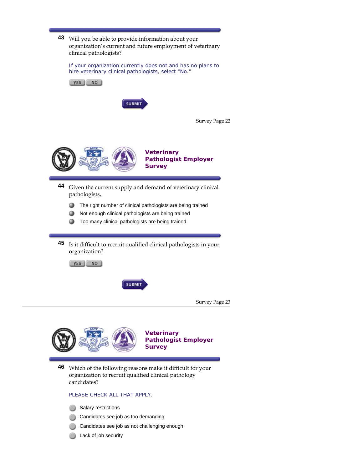

If your organization currently does not and has no plans to hire veterinary clinical pathologists, select "No."



**45** Is it difficult to recruit qualified clinical pathologists in your organization?





Survey Page 23



**46** Which of the following reasons make it difficult for your organization to recruit qualified clinical pathology candidates?

#### PLEASE CHECK ALL THAT APPLY.

- Salary restrictions
- Candidates see job as too demanding
- Candidates see job as not challenging enough
- Lack of job security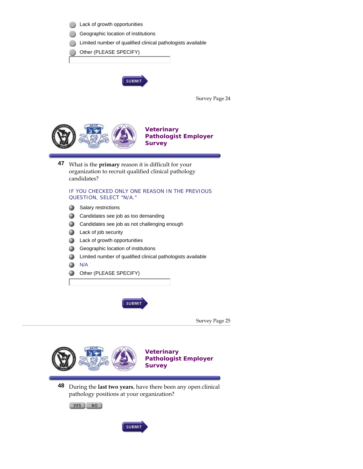



**Pathologist Employer Survey**

**48** During the **last two years**, have there been any open clinical pathology positions at your organization?

YES NO

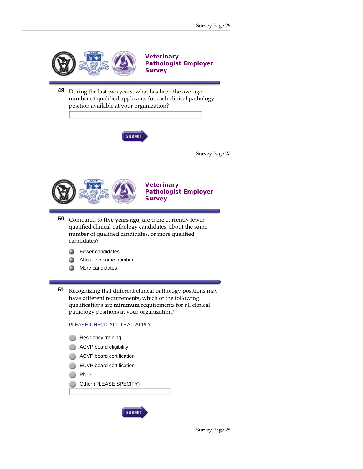



**Veterinary Pathologist Employer Survey**

- **50** Compared to **five years ago**, are there currently fewer qualified clinical pathology candidates, about the same number of qualified candidates, or more qualified candidates?
	- Fewer candidates ۵
	- ≏ About the same number
	- More candidates Ω

**51** Recognizing that different clinical pathology positions may have different requirements, which of the following qualifications are **minimum** requirements for all clinical pathology positions at your organization?

#### PLEASE CHECK ALL THAT APPLY.

- Residency training ACVP board eligibility
- ACVP board certification
- ECVP board certification
- Ph.D.
- Other (PLEASE SPECIFY)

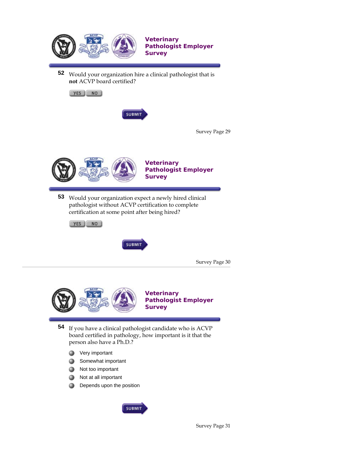

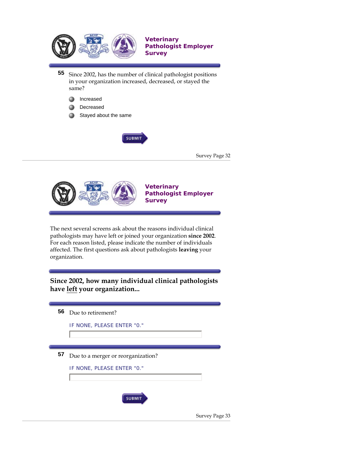



The next several screens ask about the reasons individual clinical pathologists may have left or joined your organization **since 2002**. For each reason listed, please indicate the number of individuals affected. The first questions ask about pathologists **leaving** your organization.

**Since 2002, how many individual clinical pathologists have left your organization...**

| 56 | Due to retirement?                 |                |
|----|------------------------------------|----------------|
|    | IF NONE, PLEASE ENTER "0."         |                |
|    |                                    |                |
| 57 | Due to a merger or reorganization? |                |
|    | IF NONE, PLEASE ENTER "0."         |                |
|    |                                    |                |
|    | <b>SUBMIT</b>                      |                |
|    |                                    | Survey Page 33 |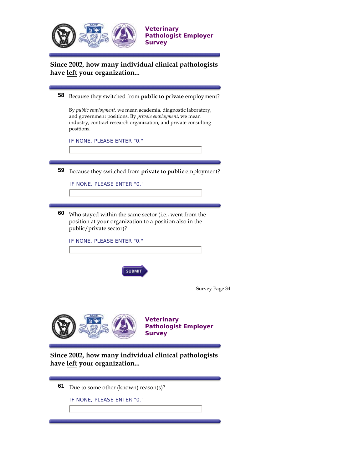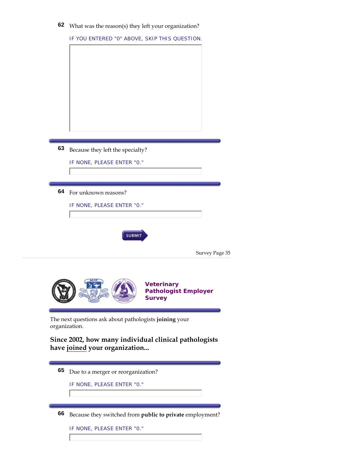| 62 What was the reason(s) they left your organization <sup><math>\hat{ }</math></sup> |  |  |  |  |
|---------------------------------------------------------------------------------------|--|--|--|--|
|---------------------------------------------------------------------------------------|--|--|--|--|

| 63 | Because they left the specialty?<br>IF NONE, PLEASE ENTER "0."                              |
|----|---------------------------------------------------------------------------------------------|
|    |                                                                                             |
|    |                                                                                             |
| 64 | For unknown reasons?                                                                        |
|    | IF NONE, PLEASE ENTER "0."                                                                  |
|    | <b>SUBMIT</b><br>Survey Page 35                                                             |
|    | <b>Veterinary</b>                                                                           |
|    | <b>Pathologist Employer</b><br><b>Survey</b>                                                |
|    | The next questions ask about pathologists joining your<br>organization.                     |
|    | have joined your organization                                                               |
| 65 | Since 2002, how many individual clinical pathologists<br>Due to a merger or reorganization? |

**66** Because they switched from **public to private** employment?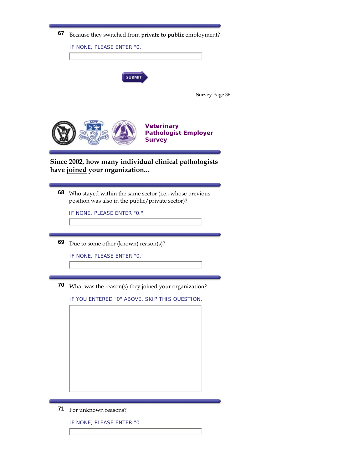

|                                                                                                                   | IF NONE, PLEASE ENTER "0."                                                                             |  |
|-------------------------------------------------------------------------------------------------------------------|--------------------------------------------------------------------------------------------------------|--|
|                                                                                                                   | <b>SUBMIT</b>                                                                                          |  |
|                                                                                                                   | Survey Page 36                                                                                         |  |
|                                                                                                                   | <b>Veterinary</b><br><b>Pathologist Employer</b><br><b>Survey</b>                                      |  |
|                                                                                                                   | Since 2002, how many individual clinical pathologists<br>have joined your organization                 |  |
| 68<br>Who stayed within the same sector (i.e., whose previous<br>position was also in the public/private sector)? |                                                                                                        |  |
|                                                                                                                   | IF NONE, PLEASE ENTER "0."                                                                             |  |
| 69                                                                                                                | Due to some other (known) reason(s)?                                                                   |  |
|                                                                                                                   | IF NONE, PLEASE ENTER "0."                                                                             |  |
| 70                                                                                                                | What was the reason(s) they joined your organization?<br>IF YOU ENTERED "0" ABOVE, SKIP THIS QUESTION. |  |
|                                                                                                                   |                                                                                                        |  |
|                                                                                                                   |                                                                                                        |  |
|                                                                                                                   |                                                                                                        |  |

**71** For unknown reasons?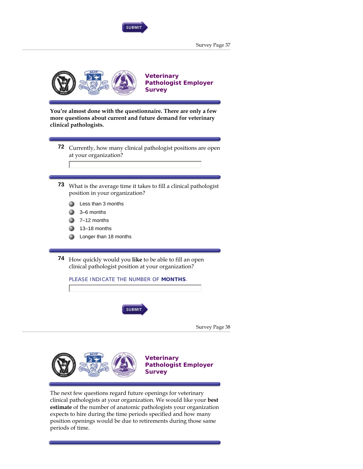

Survey Page 37



**You're almost done with the questionnaire. There are only a few more questions about current and future demand for veterinary clinical pathologists.**

- **72** Currently, how many clinical pathologist positions are open at your organization?
- **73** What is the average time it takes to fill a clinical pathologist position in your organization?
	- Less than 3 months
	- 3–6 months
	- 7–12 months
	- 13–18 months
	- Longer than 18 months

**74** How quickly would you **like** to be able to fill an open clinical pathologist position at your organization?

PLEASE INDICATE THE NUMBER OF **MONTHS**.



Survey Page 38



**Veterinary Pathologist Employer Survey**

The next few questions regard future openings for veterinary clinical pathologists at your organization. We would like your **best estimate** of the number of anatomic pathologists your organization expects to hire during the time periods specified and how many position openings would be due to retirements during those same periods of time.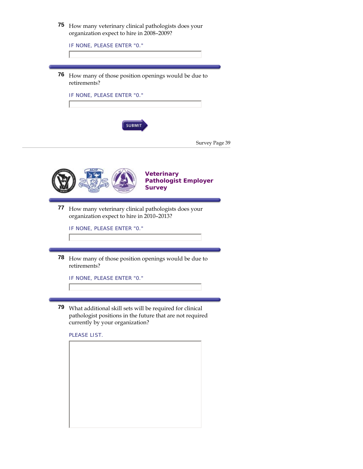| 75 | How many veterinary clinical pathologists does your<br>organization expect to hire in 2008-2009?<br>IF NONE, PLEASE ENTER "0." |                                                                   |                |
|----|--------------------------------------------------------------------------------------------------------------------------------|-------------------------------------------------------------------|----------------|
| 76 | How many of those position openings would be due to<br>retirements?                                                            |                                                                   |                |
|    | IF NONE, PLEASE ENTER "0."                                                                                                     |                                                                   |                |
|    | <b>SUBMIT</b>                                                                                                                  |                                                                   | Survey Page 39 |
|    |                                                                                                                                | <b>Veterinary</b><br><b>Pathologist Employer</b><br><b>Survey</b> |                |
| 77 | How many veterinary clinical pathologists does your<br>organization expect to hire in 2010-2013?<br>IF NONE, PLEASE ENTER "0." |                                                                   |                |

**78** How many of those position openings would be due to retirements?

IF NONE, PLEASE ENTER "0."

**79** What additional skill sets will be required for clinical pathologist positions in the future that are not required currently by your organization?

PLEASE LIST.

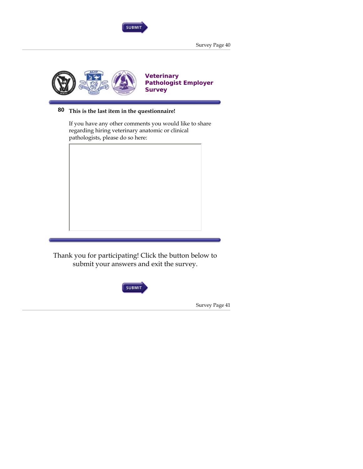

Survey Page 40



# **80 This is the last item in the questionnaire!**

If you have any other comments you would like to share regarding hiring veterinary anatomic or clinical pathologists, please do so here:



Thank you for participating! Click the button below to submit your answers and exit the survey.



Survey Page 41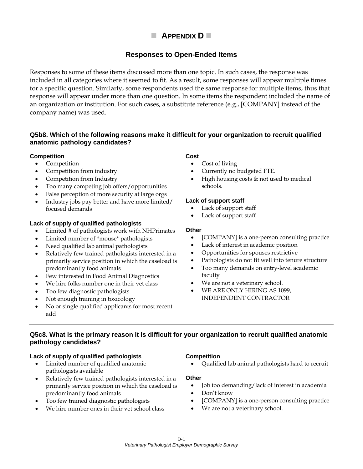# **APPENDIX D**

# **Responses to Open-Ended Items**

Responses to some of these items discussed more than one topic. In such cases, the response was included in all categories where it seemed to fit. As a result, some responses will appear multiple times for a specific question. Similarly, some respondents used the same response for multiple items, thus that response will appear under more than one question. In some items the respondent included the name of an organization or institution. For such cases, a substitute reference (e.g., [COMPANY] instead of the company name) was used.

#### **Q5b8. Which of the following reasons make it difficult for your organization to recruit qualified anatomic pathology candidates?**

#### **Competition**

- Competition
- Competition from industry
- Competition from Industry
- Too many competing job offers/opportunities
- False perception of more security at large orgs
- Industry jobs pay better and have more limited/ focused demands

#### **Lack of supply of qualified pathologists**

- Limited # of pathologists work with NHPrimates
- Limited number of \*mouse\* pathologists
- Need qualified lab animal pathologists
- Relatively few trained pathologists interested in a primarily service position in which the caseload is predominantly food animals
- Few interested in Food Animal Diagnostics
- We hire folks number one in their vet class
- Too few diagnostic pathologists
- Not enough training in toxicology
- No or single qualified applicants for most recent add

#### **Cost**

- Cost of living
- Currently no budgeted FTE.
- High housing costs & not used to medical schools.

#### **Lack of support staff**

- Lack of support staff
- Lack of support staff

#### **Other**

- [COMPANY] is a one-person consulting practice
- Lack of interest in academic position
- Opportunities for spouses restrictive
- Pathologists do not fit well into tenure structure
- Too many demands on entry-level academic faculty
- We are not a veterinary school.
- WE ARE ONLY HIRING AS 1099, INDEPENDENT CONTRACTOR

#### **Q5c8. What is the primary reason it is difficult for your organization to recruit qualified anatomic pathology candidates?**

#### **Lack of supply of qualified pathologists**

- Limited number of qualified anatomic pathologists available
- Relatively few trained pathologists interested in a primarily service position in which the caseload is predominantly food animals
- Too few trained diagnostic pathologists
- We hire number ones in their vet school class

#### **Competition**

• Qualified lab animal pathologists hard to recruit

- Job too demanding/lack of interest in academia
- Don't know
- [COMPANY] is a one-person consulting practice
- We are not a veterinary school.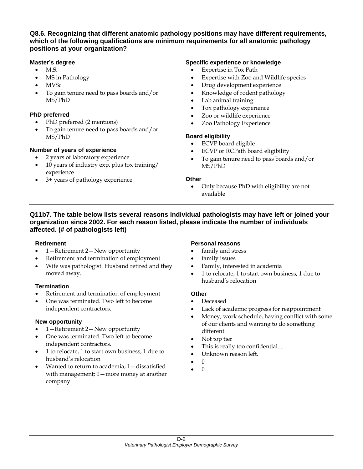#### **Q8.6. Recognizing that different anatomic pathology positions may have different requirements, which of the following qualifications are minimum requirements for all anatomic pathology positions at your organization?**

#### **Master's degree**

- **M.S.**
- MS in Pathology
- MVSc
- To gain tenure need to pass boards and/or MS/PhD

#### **PhD preferred**

- PhD preferred (2 mentions)
- To gain tenure need to pass boards and/or MS/PhD

#### **Number of years of experience**

- 2 years of laboratory experience
- 10 years of industry exp. plus tox training/ experience
- 3+ years of pathology experience

#### **Specific experience or knowledge**

- Expertise in Tox Path
- Expertise with Zoo and Wildlife species
- Drug development experience
- Knowledge of rodent pathology
- Lab animal training
- Tox pathology experience
- Zoo or wildlife experience
- Zoo Pathology Experience

#### **Board eligibility**

- ECVP board eligible
- ECVP or RCPath board eligibility
- To gain tenure need to pass boards and/or MS/PhD

#### **Other**

• Only because PhD with eligibility are not available

#### **Q11b7. The table below lists several reasons individual pathologists may have left or joined your organization since 2002. For each reason listed, please indicate the number of individuals affected. (# of pathologists left)**

#### **Retirement**

- 1—Retirement 2—New opportunity
- Retirement and termination of employment
- Wife was pathologist. Husband retired and they moved away.

#### **Termination**

- Retirement and termination of employment
- One was terminated. Two left to become independent contractors.

#### **New opportunity**

- 1 Retirement 2 New opportunity
- One was terminated. Two left to become independent contractors.
- 1 to relocate, 1 to start own business, 1 due to husband's relocation
- Wanted to return to academia; 1—dissatisfied with management; 1—more money at another company

#### **Personal reasons**

- family and stress
- family issues
- Family, interested in academia
- 1 to relocate, 1 to start own business, 1 due to husband's relocation

- Deceased
- Lack of academic progress for reappointment
- Money, work schedule, having conflict with some of our clients and wanting to do something different.
- Not top tier
- This is really too confidential....
- Unknown reason left.
- $\Omega$
- 0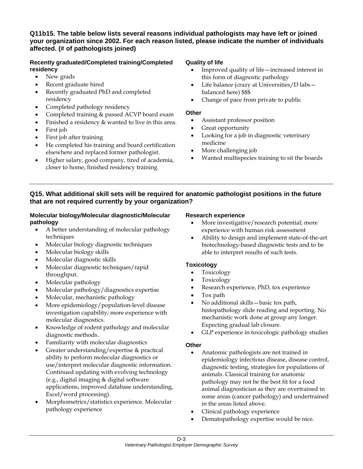#### **Q11b15. The table below lists several reasons individual pathologists may have left or joined your organization since 2002. For each reason listed, please indicate the number of individuals affected. (# of pathologists joined)**

#### **Recently graduated/Completed training/Completed residency**

- New grads
- Recent graduate hired
- Recently graduated PhD and completed residency
- Completed pathology residency
- Completed training & passed ACVP board exam
- Finished a residency & wanted to live in this area.
- First job
- First job after training
- He completed his training and board certification elsewhere and replaced former pathologist.
- Higher salary, good company, tired of academia, closer to home, finished residency training

#### **Quality of life**

- Improved quality of life—increased interest in this form of diagnostic pathology
- Life balance (crazy at Universities/D labsbalanced here) \$\$\$
- Change of pace from private to public

#### **Other**

- Assistant professor position
- Great opportunity
- Looking for a job in diagnostic veterinary medicine
- More challenging job
- Wanted multispecies training to sit the boards

#### **Q15. What additional skill sets will be required for anatomic pathologist positions in the future that are not required currently by your organization?**

#### **Molecular biology/Molecular diagnostic/Molecular pathology**

- A better understanding of molecular pathology techniques
- Molecular biology diagnostic techniques
- Molecular biology skills
- Molecular diagnostic skills
- Molecular diagnostic techniques/rapid throughput.
- Molecular pathology
- Molecular pathology/diagnostics expertise
- Molecular, mechanistic pathology
- More epidemiology/population-level disease investigation capability; more experience with molecular diagnostics.
- Knowledge of rodent pathology and molecular diagnostic methods.
- Familiarity with molecular diagnostics
- Greater understanding/expertise & practical ability to perform molecular diagnostics or use/interpret molecular diagnostic information. Continued updating with evolving technology (e.g., digital imaging & digital software applications, improved database understanding, Excel/word processing).
- Morphometrics/statistics experience. Molecular pathology experience

#### **Research experience**

- More investigative/research potential; more experience with human risk assessment
- Ability to design and implement state-of-the-art biotechnology-based diagnostic tests and to be able to interpret results of such tests.

#### **Toxicology**

- Toxicology
- Toxicology
- Research experience, PhD, tox experience
- Tox path
- No additional skills—basic tox path, histopathology slide reading and reporting. No mechanistic work done at group any longer. Expecting gradual lab closure.
- GLP experience in toxicologic pathology studies

- Anatomic pathologists are not trained in epidemiology infectious disease, disease control, diagnostic testing, strategies for populations of animals. Classical training for anatomic pathology may not be the best fit for a food animal diagnostician as they are overtrained in some areas (cancer pathology) and undertrained in the areas listed above.
- Clinical pathology experience
- Dematopathology expertise would be nice.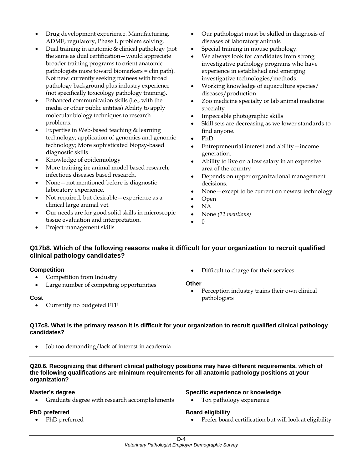- Drug development experience. Manufacturing, ADME, regulatory, Phase I, problem solving.
- Dual training in anatomic & clinical pathology (not the same as dual certification—would appreciate broader training programs to orient anatomic pathologists more toward biomarkers = clin path). Not new: currently seeking trainees with broad pathology background plus industry experience (not specifically toxicology pathology training).
- Enhanced communication skills (i.e., with the media or other public entities) Ability to apply molecular biology techniques to research problems.
- Expertise in Web-based teaching & learning technology; application of genomics and genomic technology; More sophisticated biopsy-based diagnostic skills
- Knowledge of epidemiology
- More training in: animal model based research, infectious diseases based research.
- None not mentioned before is diagnostic laboratory experience.
- Not required, but desirable—experience as a clinical large animal vet.
- Our needs are for good solid skills in microscopic tissue evaluation and interpretation.
- Project management skills
- Our pathologist must be skilled in diagnosis of diseases of laboratory animals
- Special training in mouse pathology.
- We always look for candidates from strong investigative pathology programs who have experience in established and emerging investigative technologies/methods.
- Working knowledge of aquaculture species/ diseases/production
- Zoo medicine specialty or lab animal medicine specialty
- Impeccable photographic skills
- Skill sets are decreasing as we lower standards to find anyone.
- PhD
- Entrepreneurial interest and ability—income generation.
- Ability to live on a low salary in an expensive area of the country
- Depends on upper organizational management decisions.
- None except to be current on newest technology
- Open
- NA
- None *(12 mentions)*
- 0

#### **Q17b8. Which of the following reasons make it difficult for your organization to recruit qualified clinical pathology candidates?**

#### **Competition**

- Competition from Industry
- Large number of competing opportunities

#### **Cost**

• Currently no budgeted FTE

• Difficult to charge for their services

#### **Other**

• Perception industry trains their own clinical pathologists

#### **Q17c8. What is the primary reason it is difficult for your organization to recruit qualified clinical pathology candidates?**

• Job too demanding/lack of interest in academia

#### **Q20.6. Recognizing that different clinical pathology positions may have different requirements, which of the following qualifications are minimum requirements for all anatomic pathology positions at your organization?**

#### **Master's degree**

• Graduate degree with research accomplishments

#### **PhD preferred**

• PhD preferred

#### **Specific experience or knowledge**

Tox pathology experience

#### **Board eligibility**

• Prefer board certification but will look at eligibility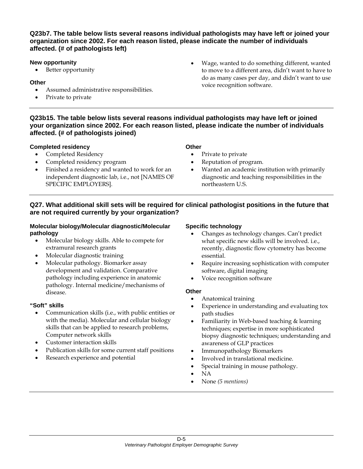#### **Q23b7. The table below lists several reasons individual pathologists may have left or joined your organization since 2002. For each reason listed, please indicate the number of individuals affected. (# of pathologists left)**

#### **New opportunity**

• Better opportunity

#### **Other**

- Assumed administrative responsibilities.
- Private to private

• Wage, wanted to do something different, wanted to move to a different area, didn't want to have to do as many cases per day, and didn't want to use voice recognition software.

#### **Q23b15. The table below lists several reasons individual pathologists may have left or joined your organization since 2002. For each reason listed, please indicate the number of individuals affected. (# of pathologists joined)**

#### **Completed residency**

- Completed Residency
- Completed residency program
- Finished a residency and wanted to work for an independent diagnostic lab, i.e., not [NAMES OF SPECIFIC EMPLOYERS].

#### **Other**

- Private to private
- Reputation of program.
- Wanted an academic institution with primarily diagnostic and teaching responsibilities in the northeastern U.S.

#### **Q27. What additional skill sets will be required for clinical pathologist positions in the future that are not required currently by your organization?**

#### **Molecular biology/Molecular diagnostic/Molecular pathology**

- Molecular biology skills. Able to compete for extramural research grants
- Molecular diagnostic training
- Molecular pathology. Biomarker assay development and validation. Comparative pathology including experience in anatomic pathology. Internal medicine/mechanisms of disease.

#### **"Soft" skills**

- Communication skills (i.e., with public entities or with the media). Molecular and cellular biology skills that can be applied to research problems, Computer network skills
- Customer interaction skills
- Publication skills for some current staff positions
- Research experience and potential

#### **Specific technology**

- Changes as technology changes. Can't predict what specific new skills will be involved. i.e., recently, diagnostic flow cytometry has become essential.
- Require increasing sophistication with computer software, digital imaging
- Voice recognition software

- Anatomical training
- Experience in understanding and evaluating tox path studies
- Familiarity in Web-based teaching & learning techniques; expertise in more sophisticated biopsy diagnostic techniques; understanding and awareness of GLP practices
- Immunopathology Biomarkers
- Involved in translational medicine.
- Special training in mouse pathology.
- NA
- None *(5 mentions)*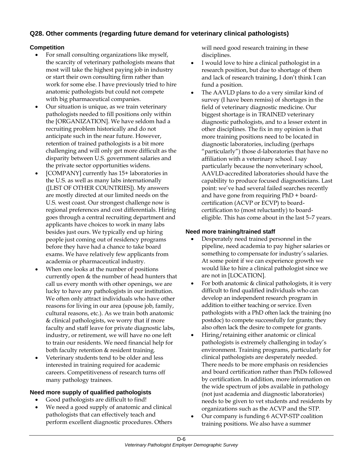# **Q28. Other comments (regarding future demand for veterinary clinical pathologists)**

#### **Competition**

- For small consulting organizations like myself, the scarcity of veterinary pathologists means that most will take the highest paying job in industry or start their own consulting firm rather than work for some else. I have previously tried to hire anatomic pathologists but could not compete with big pharmaceutical companies.
- Our situation is unique, as we train veterinary pathologists needed to fill positions only within the [ORGANIZATION]. We have seldom had a recruiting problem historically and do not anticipate such in the near future. However, retention of trained pathologists is a bit more challenging and will only get more difficult as the disparity between U.S. government salaries and the private sector opportunities widens.
- [COMPANY] currently has 15+ laboratories in the U.S. as well as many labs internationally ([LIST OF OTHER COUNTRIES]). My answers are mostly directed at our limited needs on the U.S. west coast. Our strongest challenge now is regional preferences and cost differentials. Hiring goes through a central recruiting department and applicants have choices to work in many labs besides just ours. We typically end up hiring people just coming out of residency programs before they have had a chance to take board exams. We have relatively few applicants from academia or pharmaceutical industry.
- When one looks at the number of positions currently open & the number of head hunters that call us every month with other openings, we are lucky to have any pathologists in our institution. We often only attract individuals who have other reasons for living in our area (spouse job, family, cultural reasons, etc.). As we train both anatomic & clinical pathologists, we worry that if more faculty and staff leave for private diagnostic labs, industry, or retirement, we will have no one left to train our residents. We need financial help for both faculty retention & resident training.
- Veterinary students tend to be older and less interested in training required for academic careers. Competitiveness of research turns off many pathology trainees.

#### **Need more supply of qualified pathologists**

- Good pathologists are difficult to find!
- We need a good supply of anatomic and clinical pathologists that can effectively teach and perform excellent diagnostic procedures. Others

will need good research training in these disciplines.

- I would love to hire a clinical pathologist in a research position, but due to shortage of them and lack of research training, I don't think I can fund a position.
- The AAVLD plans to do a very similar kind of survey (I have been remiss) of shortages in the field of veterinary diagnostic medicine. Our biggest shortage is in TRAINED veterinary diagnostic pathologists, and to a lesser extent in other disciplines. The fix in my opinion is that more training positions need to be located in diagnostic laboratories, including (perhaps "particularly") those d-laboratories that have no affiliation with a veterinary school. I say particularly because the nonveterinary school, AAVLD-accredited laboratories should have the capability to produce focused diagnosticians. Last point: we've had several failed searches recently and have gone from requiring PhD + boardcertification (ACVP or ECVP) to boardcertification to (most reluctantly) to boardeligible. This has come about in the last 5–7 years.

#### **Need more training/trained staff**

- Desperately need trained personnel in the pipeline, need academia to pay higher salaries or something to compensate for industry's salaries. At some point if we can experience growth we would like to hire a clinical pathologist since we are not in [LOCATION].
- For both anatomic & clinical pathologists, it is very difficult to find qualified individuals who can develop an independent research program in addition to either teaching or service. Even pathologists with a PhD often lack the training (no postdoc) to compete successfully for grants; they also often lack the desire to compete for grants.
- Hiring/retaining either anatomic or clinical pathologists is extremely challenging in today's environment. Training programs, particularly for clinical pathologists are desperately needed. There needs to be more emphasis on residencies and board certification rather than PhDs followed by certification. In addition, more information on the wide spectrum of jobs available in pathology (not just academia and diagnostic laboratories) needs to be given to vet students and residents by organizations such as the ACVP and the STP.
- Our company is funding 6 ACVP-STP coalition training positions. We also have a summer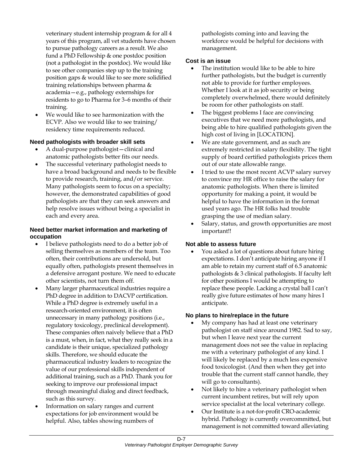veterinary student internship program & for all 4 years of this program, all vet students have chosen to pursue pathology careers as a result. We also fund a PhD Fellowship & one postdoc position (not a pathologist in the postdoc). We would like to see other companies step up to the training position gaps & would like to see more solidified training relationships between pharma & academia—e.g., pathology externships for residents to go to Pharma for 3–6 months of their training.

• We would like to see harmonization with the ECVP. Also we would like to see training/ residency time requirements reduced.

#### **Need pathologists with broader skill sets**

- A dual-purpose pathologist—clinical and anatomic pathologists better fits our needs.
- The successful veterinary pathologist needs to have a broad background and needs to be flexible to provide research, training, and/or service. Many pathologists seem to focus on a specialty; however, the demonstrated capabilities of good pathologists are that they can seek answers and help resolve issues without being a specialist in each and every area.

#### **Need better market information and marketing of occupation**

- I believe pathologists need to do a better job of selling themselves as members of the team. Too often, their contributions are undersold, but equally often, pathologists present themselves in a defensive arrogant posture. We need to educate other scientists, not turn them off.
- Many larger pharmaceutical industries require a PhD degree in addition to DACVP certification. While a PhD degree is extremely useful in a research-oriented environment, it is often unnecessary in many pathology positions (i.e., regulatory toxicology, preclinical development). These companies often naively believe that a PhD is a must, when, in fact, what they really seek in a candidate is their unique, specialized pathology skills. Therefore, we should educate the pharmaceutical industry leaders to recognize the value of our professional skills independent of additional training, such as a PhD. Thank you for seeking to improve our professional impact through meaningful dialog and direct feedback, such as this survey.
- Information on salary ranges and current expectations for job environment would be helpful. Also, tables showing numbers of

pathologists coming into and leaving the workforce would be helpful for decisions with management.

#### **Cost is an issue**

- The institution would like to be able to hire further pathologists, but the budget is currently not able to provide for further employees. Whether I look at it as job security or being completely overwhelmed, there would definitely be room for other pathologists on staff.
- The biggest problems I face are convincing executives that we need more pathologists, and being able to hire qualified pathologists given the high cost of living in [LOCATION].
- We are state government, and as such are extremely restricted in salary flexibility. The tight supply of board certified pathologists prices them out of our state allowable range.
- I tried to use the most recent ACVP salary survey to convince my HR office to raise the salary for anatomic pathologists. When there is limited opportunity for making a point, it would be helpful to have the information in the format used years ago. The HR folks had trouble grasping the use of median salary.
- Salary, status, and growth opportunities are most important!!

#### **Not able to assess future**

You asked a lot of questions about future hiring expectations. I don't anticipate hiring anyone if I am able to retain my current staff of 6.5 anatomic pathologists & 3 clinical pathologists. If faculty left for other positions I would be attempting to replace these people. Lacking a crystal ball I can't really give future estimates of how many hires I anticipate.

#### **No plans to hire/replace in the future**

- My company has had at least one veterinary pathologist on staff since around 1982. Sad to say, but when I leave next year the current management does not see the value in replacing me with a veterinary pathologist of any kind. I will likely be replaced by a much less expensive food toxicologist. (And then when they get into trouble that the current staff cannot handle, they will go to consultants).
- Not likely to hire a veterinary pathologist when current incumbent retires, but will rely upon service specialist at the local veterinary college.
- Our Institute is a not-for-profit CRO-academic hybrid. Pathology is currently overcommitted, but management is not committed toward alleviating